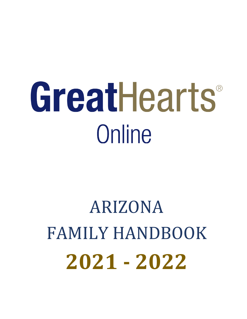# GreatHearts® **Online**

# **2021 - 2022** ARIZONA FAMILY HANDBOOK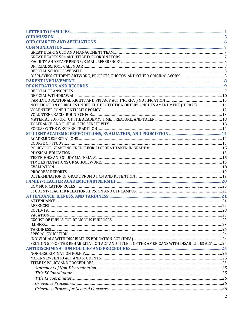| NOTIFICATION OF RIGHTS UNDER THE PROTECTION OF PUPIL RIGHTS AMENDMENT ("PPRA") 11             |  |
|-----------------------------------------------------------------------------------------------|--|
|                                                                                               |  |
|                                                                                               |  |
|                                                                                               |  |
|                                                                                               |  |
|                                                                                               |  |
|                                                                                               |  |
|                                                                                               |  |
|                                                                                               |  |
|                                                                                               |  |
|                                                                                               |  |
|                                                                                               |  |
|                                                                                               |  |
|                                                                                               |  |
|                                                                                               |  |
|                                                                                               |  |
|                                                                                               |  |
|                                                                                               |  |
|                                                                                               |  |
|                                                                                               |  |
|                                                                                               |  |
|                                                                                               |  |
|                                                                                               |  |
| $COMID-19$                                                                                    |  |
|                                                                                               |  |
|                                                                                               |  |
|                                                                                               |  |
|                                                                                               |  |
|                                                                                               |  |
|                                                                                               |  |
| SECTION 504 OF THE REHABILITATION ACT AND TITLE II OF THE AMERICANS WITH DISABILITIES ACT  24 |  |
|                                                                                               |  |
|                                                                                               |  |
|                                                                                               |  |
|                                                                                               |  |
|                                                                                               |  |
|                                                                                               |  |
|                                                                                               |  |
|                                                                                               |  |
|                                                                                               |  |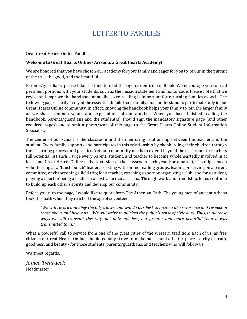# LETTER TO FAMILIES

<span id="page-3-0"></span>Dear Great Hearts Online Families,

#### **Welcome to Great Hearts Online- Arizona, a Great Hearts Academy!**

We are honored that you have chosen our academy for your family and eager for you to join us in the pursuit of the true, the good, and the beautiful.

 Parents/guardians, please take the time to read through our entire handbook. We encourage you to read revise and improve the handbook annually, so re-reading is important for returning families as well. The Great Hearts Online community. In effect, knowing the handbook helps your family to join the larger family as we share common values and expectations of one another. When you have finished reading the required pages) and submit a photo/scan of this page to the Great Hearts Online Student Information pertinent portions with your students, such as the mission statement and honor code. Please note that we following pages clarify many of the essential details that a family must understand to participate fully in our handbook, parents/guardians and the student(s) should sign the mandatory signature page (and other Specialist.

 full potential. As such, I urge every parent, student, and teacher to become wholeheartedly involved in at volunteering as a "lunch bunch" leader, assisting with online reading groups, leading or serving on a parent The center of our school is the classroom and the mentoring relationship between the teacher and the student. Every family supports and participates in this relationship by shepherding their children through their learning process and practice. Yet our community needs to extend beyond the classroom to reach its least one Great Hearts Online activity outside of the classroom each year. For a parent, this might mean committee, or chaperoning a field trip; for a teacher, coaching a sport or organizing a club; and for a student, playing a sport or being a leader in an extracurricular arena. Through work and friendship, let us continue to build up each other's spirits and develop our community.

Before you turn the page, I would like to quote from The Athenian Oath. The young men of ancient Athens took this oath when they reached the age of seventeen.

 *those above and below us ... We will strive to quicken the public's sense of civic duty. Thus, in all these "We will revere and obey the City's laws, and will do our best to incite a like reverence and respect in ways we will transmit this City, not only, not less, but greater and more beautiful than it was transmitted to us."* 

 citizens of Great Hearts Online, should equally strive to make our school a better place - a city of truth, What a powerful call to service from one of the great cities of the Western tradition! Each of us, as free goodness, and beauty - for those students, parents/guardians, and teachers who will follow us.

Warmest regards,

*Jamee Twardeck*  Headmaster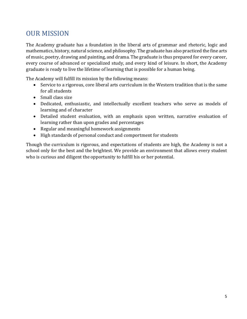# <span id="page-4-0"></span>OUR MISSION

The Academy graduate has a foundation in the liberal arts of grammar and rhetoric, logic and mathematics, history, natural science, and philosophy. The graduate has also practiced the fine arts of music, poetry, drawing and painting, and drama. The graduate is thus prepared for every career, every course of advanced or specialized study, and every kind of leisure. In short, the Academy graduate is ready to live the lifetime of learning that is possible for a human being.

The Academy will fulfill its mission by the following means:

- Service to a rigorous, core liberal arts curriculum in the Western tradition that is the same for all students
- Small class size
- Dedicated, enthusiastic, and intellectually excellent teachers who serve as models of learning and of character
- Detailed student evaluation, with an emphasis upon written, narrative evaluation of learning rather than upon grades and percentages
- Regular and meaningful homework assignments
- High standards of personal conduct and comportment for students

Though the curriculum is rigorous, and expectations of students are high, the Academy is not a school only for the best and the brightest. We provide an environment that allows every student who is curious and diligent the opportunity to fulfill his or her potential.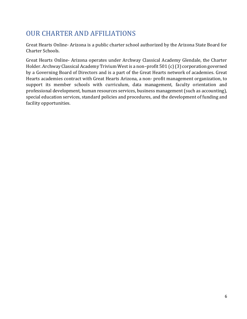# <span id="page-5-0"></span>OUR CHARTER AND AFFILIATIONS

Great Hearts Online- Arizona is a public charter school authorized by the Arizona State Board for Charter Schools.

Great Hearts Online- Arizona operates under Archway Classical Academy Glendale, the Charter Holder. Archway Classical Academy Trivium West is a non–profit 501 (c) (3) corporation governed by a Governing Board of Directors and is a part of the Great Hearts network of academies. Great Hearts academies contract with Great Hearts Arizona, a non- profit management organization, to support its member schools with curriculum, data management, faculty orientation and professional development, human resources services, business management (such as accounting), special education services, standard policies and procedures, and the development of funding and facility opportunities.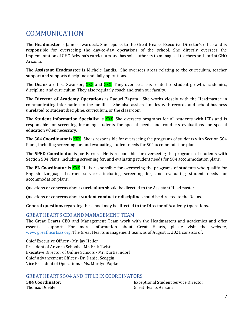# <span id="page-6-0"></span>COMMUNICATION

 implementation of GHO Arizona's curriculum and has sole authority to manage all teachers and staff at GHO The **Headmaster** is Jamee Twardeck. She reports to the Great Hearts Executive Director's office and is responsible for overseeing the day-to-day operations of the school. She directly oversees the Arizona.

 support and supports discipline and daily operations. The **Assistant Headmaster** is Michele Landis. She oversees areas relating to the curriculum, teacher

Michele Land<br>and daily oper<br>**XXX** and **XXX**<br>*z* also regularly The **Deans** are Lisa Swanson, XXX and XXX. They oversee areas related to student growth, academics, discipline, and curriculum. They also regularly coach and train our faculty.

The **Director of Academy Operations** is Raquel Zapata. She works closely with the Headmaster in communicating information to the families. She also assists families with records and school business unrelated to student discipline, curriculum, or the classroom.

 responsible for screening incoming students for special needs and conducts evaluations for special education when necessary. es.<br>n, or t<br><mark>XXX</mark>.<br>dents The **Student Information Specialist** is XXX. She oversees programs for all students with IEPs and is

 Plans, including screening for, and evaluating student needs for 504 accommodation plans. ng m<br>ry.<br><u>XXX</u> .<br><sub>is lo</sub> The **504 Coordinator** is XXX . She is responsible for overseeing the programs of students with Section 504

The **SPED Coordinator** is Joe Barrera. He is responsible for overseeing the programs of students with Section 504 Plans, including screening for, and evaluating student needs for 504 accommodation plans.

 English Language Learner services, including screening for, and evaluating student needs for accommodation plans. - is-jo<br>ling s<br><mark>XXX</mark>.<br>rner The **EL Coordinator** is XXX. He is responsible for overseeing the programs of students who qualify for

Questions or concerns about **curriculum** should be directed to the Assistant Headmaster.

Questions or concerns about **student conduct or discipline** should be directed to the Deans.

**General questions** regarding the school may be directed to the Director of Academy Operations.

#### <span id="page-6-1"></span>GREAT HEARTS CEO AND MANAGEMENT TEAM

 The Great Hearts CEO and Management Team work with the Headmasters and academies and offer [www.greatheartsaz.org.](http://www.greatheartsaz.org/) The Great Hearts management team, as of August 1, 2021 consists of: essential support. For more information about Great Hearts, please visit the website,

Chief Executive Officer - Mr. Jay Heiler President of Arizona Schools - Mr. Erik Twist Executive Director of Online Schools - Mr. Kurtis Indorf Chief Advancement Officer - Dr. Daniel Scoggin Vice President of Operations - Ms. Marilyn Papke

# <span id="page-6-2"></span>GREAT HEARTS 504 AND TITLE IX COORDINATORS<br>504 Coordinator: Exce

Thomas Doebler Great Hearts Arizona **504 Coordinator:** Exceptional Student Service Director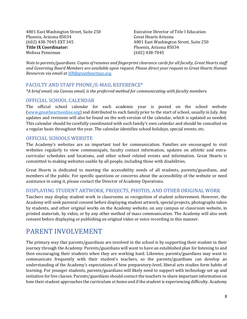4801 East Washington Street, Suite 250 Executive Director of Title I Education Phoenix, Arizona 85034<br>(602) 438-7045 EXT 345 (602) 438-7045 EXT 345 4801 East Washington Street, Suite 250 **Title IX Coordinator:** Phoenix, Arizona 85034

Great Hearts Arizona (602) 438-7045

 *and Governing Board Members are available upon request. Please direct your request to Great Hearts Human Note to parents/guardians: Copies of resumes and fingerprint clearance cards for all faculty, Great Hearts staff Resources via email at [HR@greatheartsaz.org.](mailto:HR@greatheartsaz.org)* 

#### <span id="page-7-0"></span>FACULTY AND STAFF PHONE/E-MAIL REFERENCE\*

*\*A brief email, via Canvas email, is the preferred method for communicating with faculty members.* 

#### <span id="page-7-1"></span>OFFICIAL SCHOOL CALENDAR

 updates and revisions will also be found on the web version of the calendar, which is updated as needed. This calendar should be carefully coordinated with each family's own calendar and should be consulted on The official school calendar for each academic year is posted on the school website [\(www.greatheartsonline.org\)](http://www.greatheartsonline.org/) and distributed to each family prior to the start of school, usually in July. Any a regular basis throughout the year. The calendar identifies school holidays, special events, etc.

### <span id="page-7-2"></span>OFFICIAL SCHOOLS WEBSITE

 The Academy's websites are an important tool for communication. Families are encouraged to visit websites regularly to view communiqués, faculty contact information, updates on athletic and extracurricular schedules and locations, and other school related events and information. Great Hearts is committed to making websites usable by all people, including those with disabilities.

 Great Hearts is dedicated to meeting the accessibility needs of all students, parents/guardians, and assistance in using it, please contact the Director of Academy Operations. members of the public. For specific questions or concerns about the accessibility of the website or need

<span id="page-7-3"></span> Academy will seek parental consent before displaying student artwork, special projects, photographs taken printed materials, by video, or by any other method of mass communication. The Academy will also seek consent before displaying or publishing an original video or voice recording in this manner. assistance in using it, please contact the Director of Academy Operations.<br>DISPLAYING STUDENT ARTWORK, PROJECTS, PHOTOS, AND OTHER ORIGINAL WORK<br>Teachers may display student work in classrooms as recognition of student ach by students, and other original works on the Academy website, on any campus or classroom website, in

## <span id="page-7-4"></span>PARENT INVOLVEMENT

 journey through the Academy. Parents/guardians will want to have an established plan for listening to and then encouraging their students when they are working hard. Likewise, parents/guardians may want to communicate frequently with their student's teachers, so the parents/guardians can develop an initiation for live classes. Parents/guardians should contact the teachers to share important information on The primary way that parents/guardians are involved in the school is by supporting their student in their understanding of the Academy's expectations of how preparatory-level, liberal arts studies form habits of learning. For younger students, parents/guardians will likely need to support with technology set up and how their student approaches the curriculum at home and if the student is experiencing difficulty. Academy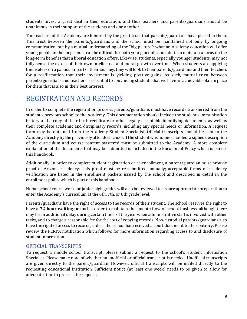students invest a great deal in their education, and thus teachers and parents/guardians should be unanimous in their support of the students and one another.

 The teachers of the Academy are honored by the great trust that parents/guardians have placed in them. communication, but by a mutual understanding of the "big picture": what an Academy education will offer young people in the long run. It can be difficult for both young people and adults to maintain a focus on the long-term benefits that a liberal education offers. Likewise, students, especially younger students, may not fully sense the extent of their own intellectual and moral growth over time. When students are applying for a reaffirmation that their investment is yielding positive gains. As such, mutual trust between This trust between the parents/guardians and the school must be maintained not only by ongoing themselves on a particular part of their journey, they will look to their parents/guardians and their teachers parents/guardians and teachers is essential to convincing students that we have an achievable plan in place for them that is also in their best interest.

# <span id="page-8-0"></span>REGISTRATION AND RECORDS

 In order to complete the registration process, parents/guardians must have records transferred from the student's previous school to the Academy. This documentation should include the student's immunization history and a copy of their birth certificate or other legally acceptable identifying documents, as well as form may be obtained from the Academy Student Specialist. Official transcripts should be sent to the explanation of the documents that may be submitted is included in the Enrollment Policy which is part of their complete academic and disciplinary records, including any special needs or information. A request Academy directly by the previously attended school. If the student was home-schooled, a signed description of the curriculum and course content mastered must be submitted to the Academy. A more complete this handbook.

 verification are listed in the enrollment packets issued by the school and described in detail in the Additionally, in order to complete student registration or re-enrollment, a parent/guardian must provide proof of Arizona residency. This proof must be re-submitted annually; acceptable forms of residency enrollment policy which is part of this handbook.

 Home-school coursework for junior high grades will also be reviewed to assure appropriate preparation to enter the Academy's curriculum at the 6th, 7th, or 8th grade level.

 have a **72-hour waiting period** in order to maintain the smooth flow of school business, although there may be an additional delay during certain times of the year when administrative staff is involved with other Parents/guardians have the right of access to the records of their student. The school reserves the right to tasks, and to charge a reasonable fee for the cost of copying records. Non-custodial parents/guardians also have the right of access to records, unless the school has received a court document to the contrary. Please review the FERPA notification which follows for more information regarding access to and disclosure of student information.

#### <span id="page-8-1"></span>OFFICIAL TRANSCRIPTS

 Specialist. Please make note of whether an unofficial or official transcript is needed. Unofficial transcripts requesting educational institution. Sufficient notice (at least one week) needs to be given to allow for adequate time to process the request. To request a middle school transcript, please submit a request to the school's Student Information are given directly to the parent/guardian. However, official transcripts will be mailed directly to the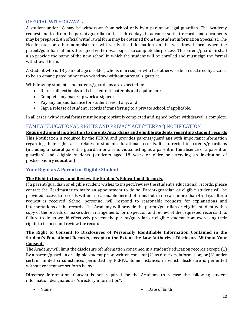#### <span id="page-9-0"></span>OFFICIAL WITHDRAWAL

 A student under 18 may be withdrawn from school only by a parent or legal guardian. The Academy also provide the name of the new school in which the student will be enrolled and must sign the formal requests notice from the parent/guardian at least three days in advance so that records and documents may be prepared. An official withdrawal form may be obtained from the Student Information Specialist. The Headmaster or other administrator will verify the information on the withdrawal form when the parent/guardian submits the signed withdrawal papers to complete the process. The parent/guardian shall withdrawal form.

 A student who is 18 years of age or older, who is married, or who has otherwise been declared by a court to be an emancipated minor may withdraw without parental signature.

Withdrawing students and parents/guardians are expected to:

- Return all textbooks and checked-out materials and equipment;
- Complete any make-up work assigned;
- Pay any unpaid balance for student fees, if any; and
- Sign a release of student records if transferring to a private school, if applicable.

In all cases, withdrawal forms must be appropriately completed and signed before withdrawal is complete.

#### <span id="page-9-1"></span>FAMILY EDUCATIONAL RIGHTS AND PRIVACY ACT ("FERPA") NOTIFICATION

 **Required annual notification to parents/guardians and eligible students regarding student records** This Notification is required by the FERPA and provides parents/guardians with important information regarding their rights as it relates to student educational records. It is directed to parents/guardians (including a natural parent, a guardian or an individual acting as a parent in the absence of a parent or guardian) and eligible students (students aged 18 years or older or attending an institution of postsecondary education).

#### **Your Right as A Parent or Eligible Student**

#### **The Right to Inspect and Review the Student's Educational Records.**

 contact the Headmaster to make an appointment to do so. Parent/guardian or eligible student will be provided access to records within a reasonable period of time, but in no case more than 45 days after a request is received. School personnel will respond to reasonable requests for explanations and interpretations of the records. The Academy will provide the parent/guardian or eligible student with a failure to do so would effectively prevent the parent/guardian or eligible student from exercising their If a parent/guardian or eligible student wishes to inspect/review the student's educational records, please copy of the records or make other arrangements for inspection and review of the requested records if its rights to inspect and review the records.

#### **The Right to Consent to Disclosures of Personally Identifiable Information Contained in the Student's Educational Records, except to the Extent the Law Authorizes Disclosure Without Your Consent.**

 The Academy will limit the disclosure of information contained in a student's education records except: (1) By a parent/guardian or eligible student prior, written consent; (2) as directory information; or (3) under certain limited circumstances permitted by FERPA. Some instances in which disclosure is permitted without consent are set forth below.

Directory Information. Consent is not required for the Academy to release the following student information designated as "directory information":

- 
- Name Date of birth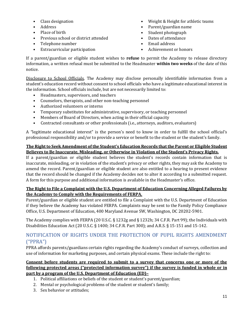- 
- 
- 
- Place of birth Student photograph Previous school or district attended
- Telephone number Email address
- Extracurricular participation Achievement or honors
- Class designation Weight & Height for athletic teams
- • Address Parent/guardian name
	-
	-
	-
	-

 If a parent/guardian or eligible student wishes to **refuse** to permit the Academy to release directory information, a written refusal must be submitted to the Headmaster **within two weeks** of the date of this notice.

 Disclosure to School Officials. The Academy may disclose personally identifiable information from a student's education record without consent to school officials who have a legitimate educational interest in the information. School officials include, but are not necessarily limited to:

- Headmasters, supervisors, and teachers
- Counselors, therapists, and other non-teaching personnel
- Authorized volunteers or interns
- Temporary substitutes for administrative, supervisory, or teaching personnel
- Members of Board of Directors, when acting in their official capacity
- Contracted consultants or other professionals (i.e., attorneys, auditors, evaluators)

A "legitimate educational interest" is the person's need to know in order to fulfill the school official's professional responsibility and/or to provide a service or benefit to the student or the student's family.

#### **The Right to Seek Amendment of the Student's Education Records that the Parent or Eligible Student Believes to Be Inaccurate, Misleading, or Otherwise in Violation of the Student's Privacy Rights.**

 If a parent/guardian or eligible student believes the student's records contain information that is A form for this purpose and additional information is available in the Headmaster's office. inaccurate, misleading, or in violation of the student's privacy or other rights, they may ask the Academy to amend the record. Parent/guardian or eligible student are also entitled to a hearing to present evidence that the record should be changed if the Academy decides not to alter it according to a submitted request.

#### **The Right to File a Complaint with the U.S. Department of Education Concerning Alleged Failures by the Academy to Comply with the Requirements of FERPA.**

 Parent/guardian or eligible student are entitled to file a Complaint with the U.S. Department of Education if they believe the Academy has violated FERPA. Complaints may be sent to the Family Policy Compliance Office, U.S. Department of Education, 400 Maryland Avenue SW, Washington, DC 20202-5901.

 The Academy complies with FERPA (20 U.S.C. § 1232g and § 1232h; 34 C.F.R. Part 99); the Individuals with Disabilities Education Act (20 U.S.C. § 1400; 34 C.F.R. Part 300); and A.R.S. § 15-151 and 15-142.

#### <span id="page-10-0"></span>NOTIFICATION OF RIGHTS UNDER THE PROTECTION OF PUPIL RIGHTS AMENDMENT ("PPRA")

PPRA affords parents/guardians certain rights regarding the Academy's conduct of surveys, collection and use of information for marketing purposes, and certain physical exams. These include the right to:

#### **following protected areas ("protected information survey") if the survey is funded in whole or in Consent before students are required to submit to a survey that concerns one or more of the part by a program of the U.S. Department of Education (ED)–**

- 1. Political affiliations or beliefs of the student or student's parent/guardian;
- 2. Mental or psychological problems of the student or student's family;
- 3. Sex behavior or attitudes;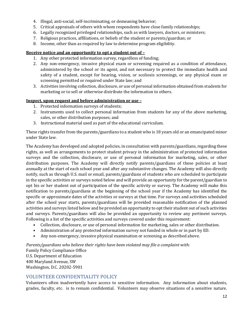- 4. Illegal, anti-social, self-incriminating, or demeaning behavior;
- 5. Critical appraisals of others with whom respondents have close family relationships;
- 6. Legally recognized privileged relationships, such as with lawyers, doctors, or ministers;
- 7. Religious practices, affiliations, or beliefs of the student or parents/guardian; or
- 8. Income, other than as required by law to determine program eligibility.

#### **Receive notice and an opportunity to opt a student out of –**

- 1. Any other protected information survey, regardless of funding;
- safety of a student, except for hearing, vision, or scoliosis screenings, or any physical exam or 2. Any non-emergency, invasive physical exam or screening required as a condition of attendance, administered by the school or its agent, and not necessary to protect the immediate health and screening permitted or required under State law; and
- 3. Activities involving collection, disclosure, or use of personal information obtained from students for marketing or to sell or otherwise distribute the information to others.

#### **Inspect, upon request and before administration or use –**

- 1. Protected information surveys of students;
- 2. Instruments used to collect personal information from students for any of the above marketing, sales, or other distribution purposes; and
- 3. Instructional material used as part of the educational curriculum.

 These rights transfer from the parents/guardians to a student who is 18 years old or an emancipated minor under State law.

 The Academy has developed and adopted policies, in consultation with parents/guardians, regarding these surveys and the collection, disclosure, or use of personal information for marketing, sales, or other annually at the start of each school year and after any substantive changes. The Academy will also directly in the specific activities or surveys noted below and will provide an opportunity for the parent/guardian to specific or approximate dates of the activities or surveys at that time. For surveys and activities scheduled after the school year starts, parents/guardians will be provided reasonable notification of the planned and surveys. Parents/guardians will also be provided an opportunity to review any pertinent surveys. Following is a list of the specific activities and surveys covered under this requirement: rights, as well as arrangements to protect student privacy in the administration of protected information distribution purposes. The Academy will directly notify parents/guardians of these policies at least notify, such as through U.S. mail or email, parents/guardians of students who are scheduled to participate opt his or her student out of participation of the specific activity or survey. The Academy will make this notification to parents/guardians at the beginning of the school year if the Academy has identified the activities and surveys listed below and be provided an opportunity to opt their student out of such activities

- Collection, disclosure, or use of personal information for marketing, sales or other distribution.
- Administration of any protected information survey not funded in whole or in part by ED.
- Any non-emergency, invasive physical examination or screening as described above.

*Parents/guardians who believe their rights have been violated may file a complaint with:* Family Policy Compliance Office U.S. Department of Education 400 Maryland Avenue, SW Washington, D.C. 20202-5901

#### <span id="page-11-0"></span>VOLUNTEER CONFIDENTIALITY POLICY

 grades, faculty, etc. is to remain confidential. Volunteers may observe situations of a sensitive nature. Volunteers often inadvertently have access to sensitive information. Any information about students,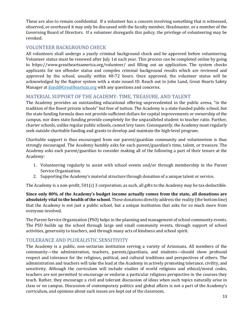These are also to remain confidential. If a volunteer has a concern involving something that is witnessed, Governing Board of Directors. If a volunteer disregards this policy, the privilege of volunteering may be observed, or overheard it may only be discussed with the faculty member, Headmaster, or a member of the revoked.

#### <span id="page-12-0"></span>VOLUNTEER BACKGROUND CHECK

All volunteers shall undergo a yearly criminal background check and be approved before volunteering. Volunteer status must be renewed after July 1st each year. This process can be completed online by going to https://www.greatheartsamerica.org/volunteer/ and filling out an application. The system checks applicants for sex offender status and compiles criminal background results which are reviewed and approved by the school, usually within 48-72 hours. Once approved, the volunteer status will be acknowledged by the Raptor system with a state issued ID. Reach out to John Lund, Great Hearts Safety Manager at *jlund@GreatHeartsaz.org* with any questions and concerns.

#### <span id="page-12-1"></span>MATERIAL SUPPORT OF THE ACADEMY: TIME, TREASURE, AND TALENT

 The Academy provides an outstanding educational offering unprecedented in the public arena, "in the charter schools, unlike regular public schools, cannot levy taxes. Consequently, the Academy must regularly tradition of the finest private schools" but free of tuition. The Academy is a state-funded public school, but the state funding formula does not provide sufficient dollars for capital improvements or ownership of the campus, nor does state funding provide completely for the unparalleled student to teacher ratio. Further, seek outside charitable funding and grants to develop and maintain the high-level program.

 Charitable support is thus encouraged from our parent/guardian community and volunteerism is thus strongly encouraged. The Academy humbly asks for each parent/guardian's time, talent, or treasure. The Academy asks each parent/guardian to consider making all of the following a part of their tenure at the Academy:

- 1. Volunteering regularly to assist with school events and/or through membership in the Parent Service Organization.
- 2. Supporting the Academy's material structure through donation of a unique talent or service.

The Academy is a non-profit,  $501(c)$  3 corporation; as such, all gifts to the Academy may be tax-deductible.

 **absolutely vital to the health of the school.** These donations directly address the reality (the bottom line) that the Academy is not just a public school, but a unique institution that asks for so much more from **Since only 80% of the Academy's budget income actually comes from the state, all donations are**  everyone involved.

 The Parent Service Organization (PSO) helps in the planning and management of school community events. The PSO builds up the school through large and small community events, through support of school activities, generosity to teachers, and through many acts of kindness and school spirit.

#### <span id="page-12-2"></span>TOLERANCE AND PLURALISTIC SENSITIVITY

 respect and tolerance for the religious, political, and cultural traditions and perspectives of others. The sensitivity. Although the curriculum will include studies of world religions and ethical/moral codes, teach. Rather, they encourage a civil and tolerant discussion of ideas when such topics naturally arise in class or on campus. Discussion of contemporary politics and global affairs is not a part of the Academy's The Academy is a public, non-sectarian institution serving a variety of Arizonans. All members of the community—the administration, teachers, parents/guardians, and students—should show profound administration and teachers will take the lead at the Academy in actively promoting tolerance, civility, and teachers are not permitted to encourage or endorse a particular religious perspective in the courses they curriculum, and opinions about such issues are kept out of the classroom.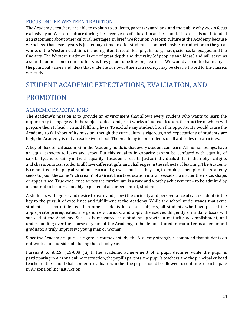#### <span id="page-13-0"></span>FOCUS ON THE WESTERN TRADITION

 The Academy's teachers are able to explain to students, parents/guardians, and the public why we do focus exclusively on Western culture during the seven years of education at the school. This focus is not intended as a statement about other cultural heritages. In brief, we focus on Western culture at the Academy because we believe that seven years is just enough time to offer students a comprehensive introduction to the great works of the Western tradition, including literature, philosophy, history, math, science, languages, and the a superb foundation to our students as they go on to be life-long learners. We would also note that many of fine arts. The Western tradition is one of great depth and diversity (of peoples and ideas) and will serve as the principal values and ideas that underlie our own American society may be clearly traced to the classics we study.

# <span id="page-13-1"></span>STUDENT ACADEMIC EXPECTATIONS, EVALUATION, AND PROMOTION

#### <span id="page-13-2"></span>ACADEMIC EXPECTATIONS

 opportunity to engage with the subjects, ideas and great works of our curriculum, the practice of which will prepare them to lead rich and fulfilling lives. To exclude any student from this opportunity would cause the Academy to fall short of its mission; though the curriculum is rigorous, and expectations of students are high, the Academy is not an exclusive school. The Academy is for students of all aptitudes or capacities. The Academy's mission is to provide an environment that allows every student who wants to learn the

 an equal capacity to learn and grow. But this equality in capacity cannot be confused with equality of and characteristics, students all have different gifts and challenges in the subjects of learning. The Academy is committed to helping all students learn and grow as much as they can, to employ a metaphor the Academy seeks to pour the same "rich cream" of a Great Hearts education into all vessels, no matter their size, shape, or appearance. True excellence across the curriculum is a rare and worthy achievement – to be admired by A key philosophical assumption the Academy holds is that every student can learn. All human beings, have capability, and certainly not with equality of academic results. Just as individuals differ in their physical gifts all, but not to be unreasonably expected of all, or even most, students.

 A student's willingness and desire to learn and grow (the curiosity and perseverance of each student) is the key to the pursuit of excellence and fulfillment at the Academy. While the school understands that some students are more talented than other students in certain subjects, all students who have passed the appropriate prerequisites, are genuinely curious, and apply themselves diligently on a daily basis will succeed at the Academy. Success is measured as a student's growth in maturity, accomplishment, and understanding over the course of years at the Academy, to be demonstrated in character as a senior and graduate; a truly impressive young man or woman.

Since the Academy requires a rigorous course of study, the Academy strongly recommend that students do not work at an outside job during the school year.

 Pursuant to A.R.S. §15-808 (G) If the academic achievement of a pupil declines while the pupil is teacher of the school shall confer to evaluate whether the pupil should be allowed to continue to participate participating in Arizona online instruction, the pupil's parents, the pupil's teachers and the principal or head in Arizona online instruction.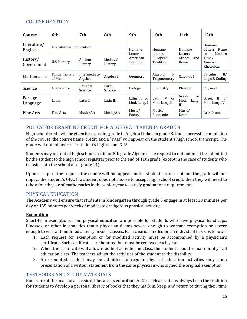#### <span id="page-14-0"></span>COURSE OF STUDY

| Course                 | 6th                            | 7th                     | 8th                 | 9th                                         | 10th                                         | 11 <sup>th</sup>                      | 12th                                                    |
|------------------------|--------------------------------|-------------------------|---------------------|---------------------------------------------|----------------------------------------------|---------------------------------------|---------------------------------------------------------|
| Literature/<br>English | Literature & Composition       |                         |                     | Humane                                      | Humane                                       | Humane                                | Humane<br>Rome<br>Letters                               |
| History/<br>Government | U.S. History                   | Ancient<br>History      | Medieval<br>History | Letters<br>Letters<br>American<br>Tradition | European<br>Tradition                        | Letters<br>Greece<br>and<br>Rome      | Modern<br>to<br>Time/<br>American<br>Rhetorical         |
| <b>Mathematics</b>     | <b>Fundamentals</b><br>of Math | Intermediate<br>Algebra | Algebra I           | Geometry                                    | II/<br>Algebra<br>Trigonometry               | Calculus I                            | II/<br>Calculus<br>Logic & Coding                       |
| Science                | Life Science                   | Physical<br>Science     | Earth<br>Science    | <b>Biology</b>                              | Chemistry                                    | Physics I                             | Physics II                                              |
| Foreign<br>Language    | Latin I                        | Latin II                | Latin III           | Latin IV or<br>Mod. Lang. I                 | V<br>Latin<br><sub>or</sub><br>Mod. Lang. II | Greek<br>I or<br>Mod.<br>Lang.<br>III | $\mathbf{H}$<br>Greek<br><sub>or</sub><br>Mod. Lang. IV |
| Fine Arts              | Fine Arts                      | Music/Art               | Music/Art           | Music/<br>Poetry                            | Music/<br>Economics                          | Music/<br>Drama                       | Art/Drama                                               |

#### <span id="page-14-1"></span>POLICY FOR GRANTING CREDIT FOR ALGEBRA I TAKEN IN GRADE 8

 of the course, the course name, credit, and a "Pass" will appear on the student's high school transcript. The High school credit will be given for a passing grade in Algebra I taken in grade 8. Upon successful completion grade will not influence the student's high school GPA.

 by the student to the high school registrar prior to the end of 11th grade (except in the case of students who Students may opt out of high school credit for 8th grade Algebra. The request to opt out must be submitted transfer into the school after grade 11).

 Upon receipt of the request, the course will not appear on the student's transcript and the grade will not impact the student's GPA. If a student does not choose to accept high school credit, then they will need to take a fourth year of mathematics in the senior year to satisfy graduations requirements.

#### <span id="page-14-2"></span>PHYSICAL EDUCATION

The Academy will ensure that students in kindergarten through grade 5 engage in at least 30 minutes per day or 135 minutes per week of moderate or vigorous physical activity.

#### **Exemption**

 illnesses, or other incapacities that a physician deems severe enough to warrant exemption or severe Short-term exemptions from physical education are possible for students who have physical handicaps, enough to warrant modified activity in such classes. Each case is handled on an individual basis as follows:

- 1. Each request for exemption or for modified activity must be accompanied by a physician's certificate. Such certificates are honored but must be renewed each year.
- 2. When the certificate will allow modified activities in class, the student should remain in physical education class. The teachers adjust the activities of the student to the disability.
- 3. An exempted student may be admitted to regular physical education activities only upon presentation of a written statement from the same physician who signed the original exemption.

#### <span id="page-14-3"></span>TEXTBOOKS AND STUDY MATERIALS

Books are at the heart of a classical, liberal arts education. At Great Hearts, it has always been the tradition for students to develop a personal library of books that they mark in, keep, and return to during their time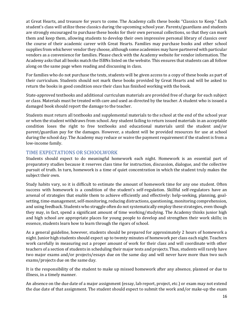at Great Hearts, and treasure for years to come. The Academy calls these books "Classics to Keep." Each them and keep them, allowing students to develop their own impressive personal library of classics over the course of their academic career with Great Hearts. Families may purchase books and other school vendors as a convenience for families. Please check with the Academy website for vendor information. The Academy asks that all books match the ISBNs listed on the website. This ensures that students can all follow student's class will utilize these classics during the upcoming school year. Parents/guardians and students are strongly encouraged to purchase these books for their own personal collections, so that they can mark supplies from whichever vendor they choose, although some academies may have partnered with particular along on the same page when reading and discussing in class.

 For families who do not purchase the texts, students will be given access to a copy of these books as part of their curriculum. Students should not mark these books provided by Great Hearts and will be asked to return the books in good condition once their class has finished working with the book.

 or class. Materials must be treated with care and used as directed by the teacher. A student who is issued a State-approved textbooks and additional curriculum materials are provided free of charge for each subject damaged book should report the damage to the teacher.

 or when the student withdraws from school. Any student failing to return issued materials in an acceptable condition loses the right to free textbooks and educational materials until the student and/or parent/guardian pay for the damages. However, a student will be provided resources for use at school during the school day. The Academy may reduce or waive the payment requirement if the student is from a Students must return all textbooks and supplemental materials to the school at the end of the school year low-income family.

#### <span id="page-15-0"></span>TIME EXPECTATIONS OR SCHOOLWORK

 preparatory studies because it reserves class time for instruction, discussion, dialogue, and the collective subject their own. Students should expect to do meaningful homework each night. Homework is an essential part of pursuit of truth. In turn, homework is a time of quiet concentration in which the student truly makes the

 they may, in fact, spend a significant amount of time working/studying. The Academy thinks junior high essence, students learn how to learn through the rigors of school. Study habits vary, so it is difficult to estimate the amount of homework time for any one student. Often success with homework is a condition of the student's self-regulation. Skillful self-regulators have an arsenal of strategies that enable them to achieve efficiently and effectively: help-seeking, planning, goalsetting, time-management, self-monitoring, reducing distractions, questioning, monitoring comprehension, and using feedback. Students who struggle often do not systematically employ these strategies, even though and high school are appropriate places for young people to develop and strengthen their work skills; in

 As a general guideline, however, students should be prepared for approximately 2 hours of homework a night. Junior high students should expect up to twenty minutes of homework per class each night. Teachers work carefully in measuring out a proper amount of work for their class and will coordinate with other teachers of a section of students in scheduling their major tests and projects. Thus, students will rarely have two major exams and/or projects/essays due on the same day and will never have more than two such exams/projects due on the same day.

 It is the responsibility of the student to make up missed homework after any absence, planned or due to illness, in a timely manner.

 the due date of that assignment. The student should expect to submit the work and/or make-up the exam An absence on the due date of a major assignment (essay, lab report, project, etc.) or exam may not extend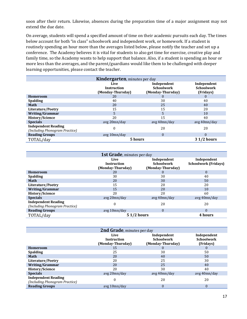soon after their return. Likewise, absences during the preparation time of a major assignment may not extend the due date.

 On average, students will spend a specified amount of time on their academic pursuits each day. The times routinely spending an hour more than the averages listed below, please notify the teacher and set up a family time, so the Academy wants to help support that balance. Also, if a student is spending an hour or below account for both "in class" schoolwork and independent work, or homework. If a student is conference. The Academy believes it is vital for students to also get time for exercise, creative play and more less than the averages, and the parent/guardians would like them to be challenged with deeper learning opportunities, please contact the teacher.

| <b>Kindergarten</b> , minutes per day                        |                                                 |                                                       |                                               |
|--------------------------------------------------------------|-------------------------------------------------|-------------------------------------------------------|-----------------------------------------------|
|                                                              | Live<br><b>Instruction</b><br>(Monday-Thursday) | Independent<br><b>Schoolwork</b><br>(Monday-Thursday) | Independent<br><b>Schoolwork</b><br>(Fridays) |
| <b>Homeroom</b>                                              | 20                                              | O                                                     |                                               |
| <b>Spalding</b>                                              | 40                                              | 30                                                    | 40                                            |
| <b>Math</b>                                                  | 20                                              | 25                                                    | 40                                            |
| Literature/Poetry                                            | 15                                              | 15                                                    | 20                                            |
| <b>Writing/Grammar</b>                                       | 5                                               | 5                                                     | 10                                            |
| <b>History/Science</b>                                       | 20                                              | 15                                                    | 40                                            |
| <b>Specials</b>                                              | avg 20mn/day                                    | avg 40mn/day                                          | avg 40mn/day                                  |
| <b>Independent Reading</b><br>(Including Phonogram Practice) | $\boldsymbol{0}$                                | 20                                                    | 20                                            |
| <b>Reading Groups</b>                                        | avg 10mn/day                                    | $\theta$                                              | 0                                             |
| TOTAL/day                                                    | 5 hours                                         |                                                       | 3 1/2 hours                                   |

| <b>1st Grade</b> , minutes per day                           |                                                 |                                                       |                                            |
|--------------------------------------------------------------|-------------------------------------------------|-------------------------------------------------------|--------------------------------------------|
|                                                              | Live<br><b>Instruction</b><br>(Monday-Thursday) | Independent<br><b>Schoolwork</b><br>(Monday-Thursday) | Independent<br><b>Schoolwork (Fridays)</b> |
| <b>Homeroom</b>                                              | 20                                              | $\theta$                                              | $\mathbf{0}$                               |
| <b>Spalding</b>                                              | 30                                              | 30                                                    | 40                                         |
| <b>Math</b>                                                  | 20                                              | 30                                                    | 50                                         |
| Literature/Poetry                                            | 15                                              | 20                                                    | 20                                         |
| <b>Writing/Grammar</b>                                       | 15                                              | 20                                                    | 10                                         |
| <b>History/Science</b>                                       | 20                                              | 20                                                    | 60                                         |
| <b>Specials</b>                                              | avg 20mn/day                                    | avg 40mn/day                                          | avg 40mn/day                               |
| <b>Independent Reading</b><br>(Including Phonogram Practice) | $\mathbf{0}$                                    | 20                                                    | 20                                         |
| <b>Reading Groups</b>                                        | avg 10mn/day                                    | $\Omega$                                              | $\theta$                                   |
| TOTAL/day                                                    | <b>51/2 hours</b>                               |                                                       | 4 hours                                    |

| 2nd Grade, minutes per day                                   |                                                 |                                                       |                                               |
|--------------------------------------------------------------|-------------------------------------------------|-------------------------------------------------------|-----------------------------------------------|
|                                                              | Live<br><b>Instruction</b><br>(Monday-Thursday) | Independent<br><b>Schoolwork</b><br>(Monday-Thursday) | Independent<br><b>Schoolwork</b><br>(Fridays) |
| <b>Homeroom</b>                                              | 15                                              |                                                       | U                                             |
| <b>Spalding</b>                                              | 25                                              | 30                                                    | 50                                            |
| <b>Math</b>                                                  | 20                                              | 40                                                    | 50                                            |
| Literature/Poetry                                            | 20                                              | 25                                                    | 30                                            |
| <b>Writing/Grammar</b>                                       | 20                                              | 25                                                    | 40                                            |
| <b>History/Science</b>                                       | 20                                              | 30                                                    | 40                                            |
| <b>Specials</b>                                              | avg 20mn/day                                    | avg 40mn/day                                          | avg 40mn/day                                  |
| <b>Independent Reading</b><br>(Including Phonogram Practice) | 0                                               | 20                                                    | 20                                            |
| <b>Reading Groups</b>                                        | avg 10mn/day                                    | $\Omega$                                              | $\theta$                                      |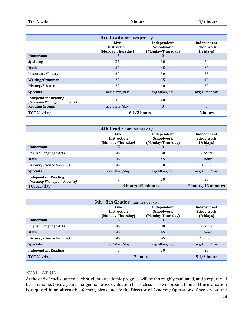| TOTAL/day | 6 hours | $41/2$ hours |
|-----------|---------|--------------|
|-----------|---------|--------------|

|                                                              | 3rd Grade, minutes per day                      |                                                       |                                               |
|--------------------------------------------------------------|-------------------------------------------------|-------------------------------------------------------|-----------------------------------------------|
|                                                              | Live<br><b>Instruction</b><br>(Monday-Thursday) | Independent<br><b>Schoolwork</b><br>(Monday-Thursday) | Independent<br><b>Schoolwork</b><br>(Fridays) |
| <b>Homeroom</b>                                              | 15                                              | $\mathbf{0}$                                          | $\bf{0}$                                      |
| <b>Spalding</b>                                              | 25                                              | 30                                                    | 50                                            |
| <b>Math</b>                                                  | 20                                              | 45                                                    | 60                                            |
| Literature/Poetry                                            | 20                                              | 30                                                    | 35                                            |
| <b>Writing/Grammar</b>                                       | 20                                              | 35                                                    | 45                                            |
| <b>History/Science</b>                                       | 20                                              | 40                                                    | 50                                            |
| <b>Specials</b>                                              | avg 20mn/day                                    | avg 40mn/day                                          | avg 40mn/day                                  |
| <b>Independent Reading</b><br>(Including Phonogram Practice) | $\Omega$                                        | 20                                                    | 20                                            |
| <b>Reading Groups</b>                                        | avg 10mn/day                                    | $\mathbf{0}$                                          | $\mathbf{0}$                                  |
| TOTAL/day                                                    | $61/2$ hours                                    |                                                       | 5 hours                                       |

|                                                              | 4th Grade, minutes per day                      |                                                       |                                               |
|--------------------------------------------------------------|-------------------------------------------------|-------------------------------------------------------|-----------------------------------------------|
|                                                              | Live<br><b>Instruction</b><br>(Monday-Thursday) | Independent<br><b>Schoolwork</b><br>(Monday-Thursday) | Independent<br><b>Schoolwork</b><br>(Fridays) |
| <b>Homeroom</b>                                              | 25                                              |                                                       | $\theta$                                      |
| <b>English Language Arts</b>                                 | 45                                              | 80                                                    | 2 hours                                       |
| <b>Math</b>                                                  | 45                                              | 45                                                    | 1 hour                                        |
| <b>History/Science (Rotates)</b>                             | 45                                              | 30                                                    | $1.15$ hour                                   |
| <b>Specials</b>                                              | avg 20mn/day                                    | avg 40mn/day                                          | avg 40mn/day                                  |
| <b>Independent Reading</b><br>(Including Phonogram Practice) | $\boldsymbol{0}$                                | 20                                                    | 20                                            |
| TOTAL/day                                                    |                                                 | 6 hours, 45 minutes                                   | 5 hours, 15 minutes                           |

| <b>5th - 8th Grades, minutes per day</b> |                                                 |                                                       |                                               |
|------------------------------------------|-------------------------------------------------|-------------------------------------------------------|-----------------------------------------------|
|                                          | Live<br><b>Instruction</b><br>(Monday-Thursday) | Independent<br><b>Schoolwork</b><br>(Monday-Thursday) | Independent<br><b>Schoolwork</b><br>(Fridays) |
| <b>Homeroom</b>                          | 25                                              | $\theta$                                              |                                               |
| <b>English Language Arts</b>             | 45                                              | 80                                                    | 2 hours                                       |
| <b>Math</b>                              | 45                                              | 45                                                    | 1 hour                                        |
| <b>History/Science (Rotates)</b>         | 45                                              | 45                                                    | $1.5$ hour                                    |
| <b>Specials</b>                          | avg 20mn/day                                    | avg 40mn/day                                          | avg 40mn/day                                  |
| <b>Independent Reading</b>               | 0                                               | 20                                                    | 20                                            |
| TOTAL/day                                |                                                 | 7 hours                                               | $51/2$ hours                                  |

#### <span id="page-17-0"></span>EVALUATION

 At the end of each quarter, each student's academic progress will be thoroughly evaluated, and a report will be sent home. Once a year, a longer narrative evaluation for each course will be sent home. If the evaluation is required in an alternative format, please notify the Director of Academy Operations. Once a year, the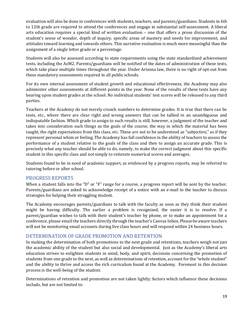evaluation will also be done in conferences with students, teachers, and parents/guardians. Students in 6th to 12th grade are required to attend the conferences and engage in substantial self-assessment. A liberal student's sense of wonder, depth of inquiry, specific areas of mastery and needs for improvement, and attitudes toward learning and towards others. This narrative evaluation is much more meaningful than the arts education requires a special kind of written evaluation – one that offers a prose discussion of the assignment of a single letter grade or a percentage.

 Students will also be assessed according to state requirements using the state standardized achievement which take place multiple times throughout the year. Under Arizona law, there is no right of opt-out from these mandatory assessments required in all public schools. tests, including the AzM2. Parents/guardians will be notified of the dates of administration of these tests,

 For its own internal assessment of student growth and educational effectiveness, the Academy may also bearing upon student grades at the school. No individual students' test scores will be released to any third administer other assessments at different points in the year. None of the results of these tests have any parties.

 tests, etc., where there are clear right and wrong answers that can be tallied in an unambiguous and represent personal whim or feeling. The Academy has full confidence in the ability of teachers to assess the performance of a student relative to the goals of the class and then to assign an accurate grade. This is Teachers at the Academy do not merely crunch numbers to determine grades. It is true that there can be indisputable fashion. Which grade to assign to such results is still, however, a judgment of the teacher and takes into consideration such things as the goals of the course, the way in which the material has been taught, the right expectations from this class, etc. These are not to be understood as "subjective," as if they precisely what any teacher should be able to do, namely, to make the correct judgment about this specific student in this specific class and not simply to reiterate numerical scores and averages.

Students found to be in need of academic support, as evidenced by a progress reports, may be referred to tutoring before or after school.

#### <span id="page-18-0"></span>PROGRESS REPORTS

 When a student falls into the "D" or "F" range for a course, a progress report will be sent by the teacher. Parents/guardians are asked to acknowledge receipt of a notice with an e-mail to the teacher to discuss strategies for helping their struggling student.

 The Academy encourages parents/guardians to talk with the faculty as soon as they think their student parent/guardian wishes to talk with their student's teacher by phone, or to make an appointment for a might be having difficulty. The earlier a problem is recognized, the easier it is to resolve. If a conference, please email the teachers directly through the teacher's Canvas Inbox. Please be aware teachers will not be monitoring email accounts during live class hours and will respond within 24 business hours.

#### <span id="page-18-1"></span>DETERMINATION OF GRADE PROMOTION AND RETENTION

 the academic ability of the student but also social and developmental. Just as the Academy's liberal arts education strives to enlighten students in mind, body, and spirit, decisions concerning the promotion of students from one grade to the next, as well as determinations of retention, account for the "whole student" and the ability to thrive and access the rich curriculum found at the Academy. Foremost in this decision In making the determination of both promotions to the next grade and retentions, teachers weigh not just process is the well-being of the student.

 Determinations of retention and promotion are not taken lightly; factors which influence these decisions include, but are not limited to: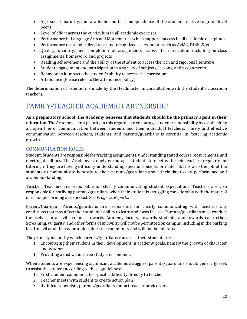- Age, social maturity, and academic and task independence of the student relative to grade level peers
- Level of effort across the curriculum in all academic exercises
- Performance in Language Arts and Mathematics which support success in all academic disciplines
- Performance on standardized tests and recognized assessments such as AzM2, DIBELS, etc.
- • Quality, quantity, and completion of assignments across the curriculum including in-class assignments, homework, and projects
- Reading achievement and the ability of the student to access the rich and rigorous literature
- Student engagement and participation in a variety of subjects, lessons, and assignments
- Behavior as it impacts the student's ability to access the curriculum
- Attendance (Please refer to the attendance policy)

The determination of retention is made by the Headmaster in consultation with the student's classroom teachers.

# <span id="page-19-0"></span>FAMILY-TEACHER ACADEMIC PARTNERSHIP

 **As a preparatory school, the Academy believes that students should be the primary agent in their education**. The Academy's first priority in this regard is to encourage student responsibility by establishing an open line of communication between students and their individual teachers. Timely and effective communication between teachers, students, and parents/guardians is essential in fostering academic growth.

#### <span id="page-19-1"></span>COMMUNICATION ROLES

 meeting deadlines. The Academy strongly encourages students to meet with their teachers regularly for students to communicate honestly to their parents/guardians about their day-to-day performance and Student: Students are responsible for tracking assignments, understanding stated course requirements, and tutoring if they are having difficulty understanding specific concepts or material. It is also the job of the academic standing.

<u>Teacher:</u> Teachers are responsible for clearly communicating student expectations. Teachers are also responsible for notifying parents/guardians when their student is struggling considerably with the material or is not performing as expected. See *Progress Reports*.

 Parent/Guardian: Parents/guardians are responsible for clearly communicating with teachers any conditions that may affect their student's ability to learn and focus in class. Parents/guardians must conduct themselves in a civil manner—towards Academy faculty, towards students, and towards each other. Screaming, vulgarity, and other forms of uncivility will not be permitted on campus, including in the parking lot. Uncivil adult behavior undermines the community and will not be tolerated.

The primary means by which parents/guardians can assist their student are:

- 1. Encouraging their student in their development in academy goals, namely the growth of character and wisdom.
- 1. Providing a distraction-free study environment.

 When students are experiencing significant academic struggles, parents/guardians should generally seek to assist the student according to these guidelines:

- 1. First, student communicates specific difficulty directly to teacher
- 2. Teacher meets with student to create action plan
- 3. If difficulty persists, parents/guardians contact teacher or vice versa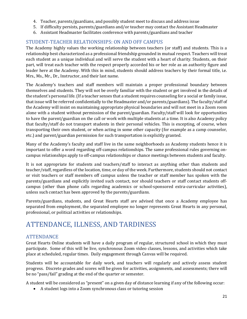- 4. Teacher, parents/guardians, and possibly student meet to discuss and address issue
- 5. If difficulty persists, parents/guardians and/or teacher may contact the Assistant Headmaster
- 6. Assistant Headmaster facilitates conference with parents/guardians and teacher

### <span id="page-20-0"></span>STUDENT-TEACHER RELATIONSHIPS: ON AND OFF CAMPUS

 relationship best characterized as a professional friendship grounded in mutual respect. Teachers will treat each student as a unique individual and will serve the student with a heart of charity. Students, on their leader here at the Academy. With this in mind, students should address teachers by their formal title, i.e. Mrs., Ms., Mr., Dr., Instructor, and their last name. The Academy highly values the working relationship between teachers (or staff) and students. This is a part, will treat each teacher with the respect properly accorded his or her role as an authority figure and

 The Academy's teachers and staff members will maintain a proper professional boundary between that issue will be referred confidentially to the Headmaster and/or parents/guardians). The faculty/staff of the Academy will insist on maintaining appropriate physical boundaries and will not meet in a Zoom room to have the parent/guardian on the call or work with multiple students at a time. It is also Academy policy transporting their own student, or when acting in some other capacity (for example as a camp counselor, themselves and students. They will not be overly familiar with the student or get involved in the details of the student's personal life. (If a teacher senses that a student requires counseling for a social or family issue, alone with a student without permission of the parent/guardian. Faculty/staff will look for opportunities that faculty/staff do not transport students in their personal vehicles. This is excepting, of course, when etc.) and parent/guardian permission for such transportation is explicitly granted.

 Many of the Academy's faculty and staff live in the same neighborhoods as Academy students hence it is important to offer a word regarding off-campus relationships. The same professional rules governing oncampus relationships apply to off-campus relationships or chance meetings between students and faculty.

 It is not appropriate for students and teachers/staff to interact as anything other than students and teacher/staff, regardless of the location, time, or day of the week. Furthermore, students should not contact or visit teachers or staff members off campus unless the teacher or staff member has spoken with the parents/guardians and explicitly invited such contact, nor should teachers or staff contact students offcampus (other than phone calls regarding academics or school-sponsored extra-curricular activities), unless such contact has been approved by the parents/guardians.

 Parents/guardians, students, and Great Hearts staff are advised that once a Academy employee has separated from employment, the separated employee no longer represents Great Hearts in any personal, professional, or political activities or relationships.

# <span id="page-20-1"></span>ATTENDANCE, ILLNESS, AND TARDINESS

#### <span id="page-20-2"></span>**ATTENDANCE**

 participate. Some of this will be live, synchronous Zoom video classes, lessons, and activities which take Great Hearts Online students will have a daily program of regular, structured school in which they must place at scheduled, regular times. Daily engagement through Canvas will be required.

 Students will be accountable for daily work, and teachers will regularly and actively assess student progress. Discrete grades and scores will be given for activities, assignments, and assessments; there will be no "pass/fail" grading at the end of the quarter or semester.

A student will be considered as "present" on a given day of distance learning if any of the following occur:

• A student logs into a Zoom synchronous class or tutoring session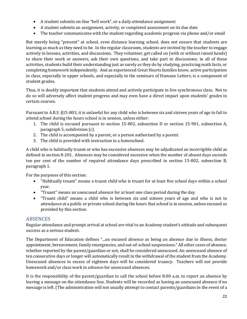- A student submits on-line "bell work", or a daily attendance assignment
- A student submits an assignment, activity, or completed assessment on its due date
- The teacher communicates with the student regarding academic progress via phone and/or email

 learning as much as they need to be. In the regular classroom, students are invited by the teacher to engage to share their work or answers, ask their own questions, and take part in discussions; in all of these activities, students build their understanding just as surely as they do by studying, practicing math facts, or completing homework independently. And as experienced Great Hearts families know, active participation in class, especially in upper schools, and especially in the seminars of Humane Letters, is a component of But merely being "present" at school, even distance learning school, does not ensure that students are actively in lessons, activities, and discussions. They volunteer, get called on (with or without raised hands) student grades.

 Thus, it is doubly important that students attend and actively participate in live synchronous class. Not to do so will adversely affect student progress and may even have a direct impact upon students' grades in certain courses.

Pursuant to A.R.S. §15-803, it is unlawful for any child who is between six and sixteen years of age to fail to attend school during the hours school is in session, unless either:

- 1. The child is excused pursuant to section 15-802, subsection D or section 15-901, subsection A, paragraph 5, subdivision (c).
- 2. The child is accompanied by a parent, or a person authorized by a parent.
- 3. The child is provided with instruction in a homeschool.

 A child who is habitually truant or who has excessive absences may be adjudicated an incorrigible child as defined in section 8-201. Absences may be considered excessive when the number of absent days exceeds ten per cent of the number of required attendance days prescribed in section 15-802, subsection B, paragraph 1.

For the purposes of this section:

- • "Habitually truant" means a truant child who is truant for at least five school days within a school year.
- "Truant" means an unexcused absence for at least one class period during the day.
- attendance at a public or private school during the hours that school is in session, unless excused as • "Truant child" means a child who is between six and sixteen years of age and who is not in provided by this section.

#### <span id="page-21-0"></span>ABSENCES

 Regular attendance and prompt arrival at school are vital to an Academy student's attitude and subsequent success as a serious student.

 appointment, bereavement, family emergencies, and out-of-school suspensions." All other cases of absence, whether reported by the parent/guardian or not, shall be considered unexcused. An unexcused absence of ten consecutive days or longer will automatically result in the withdrawal of the student from the Academy. Unexcused absences in excess of eighteen days will be considered truancy. Teachers will not provide homework and/or class work in advance for unexcused absences. The Department of Education defines "...an excused absence as being an absence due to illness, doctor

 It is the responsibility of the parent/guardian to call the school before 8:00 a.m. to report an absence by leaving a message on the attendance line. Students will be recorded as having an unexcused absence if no message is left. (The administration will not usually attempt to contact parents/guardians in the event of a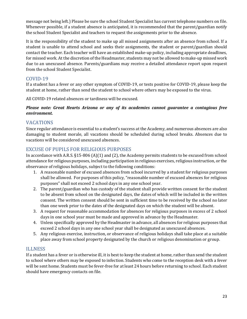message not being left.) Please be sure the school Student Specialist has current telephone numbers on file. Whenever possible, if a student absence is anticipated, it is recommended that the parent/guardian notify the school Student Specialist and teachers to request the assignments prior to the absence.

 It is the responsibility of the student to make up all missed assignments after an absence from school. If a contact the teacher. Each teacher will have an established make-up policy, including appropriate deadlines, due to an unexcused absence. Parents/guardians may receive a detailed attendance report upon request student is unable to attend school and seeks their assignments, the student or parent/guardian should for missed work. At the discretion of the Headmaster, students may not be allowed to make-up missed work from the school Student Specialist.

#### <span id="page-22-0"></span>COVID-19

If a student has a fever or any other symptom of COVID-19, or tests positive for COVID-19, please keep the student at home, rather than send the student to school where others may be exposed to the virus.

All COVID-19 related absences or tardiness will be excused.

#### *Please note: Great Hearts Arizona or any of its academies cannot guarantee a contagious free environment.*

#### <span id="page-22-1"></span>VACATIONS

 vacations will be considered unexcused absences. Since regular attendance is essential to a student's success at the Academy, and numerous absences are also damaging to student morale, all vacations should be scheduled during school breaks. Absences due to

#### <span id="page-22-2"></span>EXCUSE OF PUPILS FOR RELIGIOUS PURPOSES

 In accordance with A.R.S. §15-806 (A)(1) and (2), the Academy permits students to be excused from school attendance for religious purposes, including participation in religious exercises, religious instruction, or the observance of religious holidays, subject to the following conditions:

- 1. A reasonable number of excused absences from school incurred by a student for religious purposes shall be allowed. For purposes of this policy, "reasonable number of excused absences for religious purposes" shall not exceed 2 school days in any one school year.
- 2. The parent/guardian who has custody of the student shall provide written consent for the student to be absent from school on the designated days, the dates of which will be included in the written consent. The written consent should be sent in sufficient time to be received by the school no later than one week prior to the dates of the designated days on which the student will be absent.
- 3. A request for reasonable accommodation for absences for religious purposes in excess of 2 school days in one school year must be made and approved in advance by the Headmaster.
- 4. Unless specifically approved by the Headmaster in advance, all absences for religious purposes that exceed 2 school days in any one school year shall be designated as unexcused absences.
- 5. Any religious exercise, instruction, or observance of religious holidays shall take place at a suitable place away from school property designated by the church or religious denomination or group.

#### <span id="page-22-3"></span>ILLNESS

 If a student has a fever or is otherwise ill, it is best to keep the student at home, rather than send the student to school where others may be exposed to infection. Students who come to the reception desk with a fever will be sent home. Students must be fever-free for at least 24 hours before returning to school. Each student should have emergency contacts on file.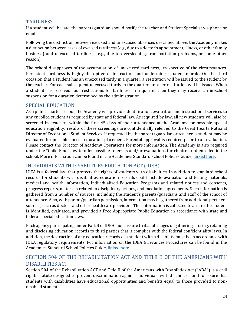#### <span id="page-23-0"></span>TARDINESS

 If a student will be late, the parent/guardian should notify the teacher and Student Specialist via phone or email.

 a distinction between cases of excused tardiness (e.g., due to a doctor's appointment, illness, or other family Following the distinction between excused and unexcused absences described above, the Academy makes business) and unexcused tardiness (e.g., due to oversleeping, transportation problems, or some other reason).

 The school disapproves of the accumulation of unexcused tardiness, irrespective of the circumstances. occasion that a student has an unexcused tardy in a quarter, a restitution will be issued to the student by a student has received four restitutions for tardiness in a quarter then they may receive an in-school Persistent tardiness is highly disruptive of instruction and undermines student morale. On the third the teacher. For each subsequent unexcused tardy in the quarter, another restitution will be issued. When suspension for a duration determined by the administration.

#### <span id="page-23-1"></span>SPECIAL EDUCATION

 As a public charter school, the Academy will provide identification, evaluation and instructional services to evaluated for possible special education placement. Parental approval is required prior to an evaluation. under the "Child Find" law to offer possible referrals and/or evaluations for children not enrolled in the any enrolled student as required by state and federal law. As required by law, all new students will also be screened by teachers within the first 45 days of their attendance at the Academy for possible special education eligibility; results of these screenings are confidentially referred to the Great Hearts National Director of Exceptional Student Services. If requested by the parent/guardian or teacher, a student may be Please contact the Director of Academy Operations for more information. The Academy is also required school. More information can be found in the Academies Standard School Policies Guide[, linked here.](https://transparency.greatheartsamerica.org/compliance/)

#### <span id="page-23-2"></span>INDIVIDUALS WITH DISABILITIES EDUCATION ACT (IDEA)

 IDEA is a federal law that protects the rights of students with disabilities. In addition to standard school sources, such as doctors and other health care providers. This information is collected to assure the student records for students with disabilities, education records could include evaluation and testing materials, medical and health information, Individualized Education Programs and related notices and consents, progress reports, materials related to disciplinary actions, and mediation agreements. Such information is gathered from a number of sources, including the student's parents/guardians and staff of the school of attendance. Also, with parent/guardian permission, information may be gathered from additional pertinent is identified, evaluated, and provided a Free Appropriate Public Education in accordance with state and federal special education laws.

 Each agency participating under Part B of IDEA must assure that at all stages of gathering, storing, retaining and disclosing education records to third parties that it complies with the federal confidentiality laws. In addition, the destruction of any education records of a student with a disability must be in accordance with IDEA regulatory requirements. For information on the IDEA Grievances Procedures can be found in the Academies Standard School Policies Guide[, linked here.](https://transparency.greatheartsamerica.org/compliance/) 

#### <span id="page-23-3"></span>SECTION 504 OF THE REHABILITATION ACT AND TITLE II OF THE AMERICANS WITH DISABILITIES ACT

 Section 504 of the Rehabilitation ACT and Title II of the Americans with Disabilities Act ("ADA") is a civil students with disabilities have educational opportunities and benefits equal to those provided to nonrights statute designed to prevent discrimination against individuals with disabilities and to assure that disabled students.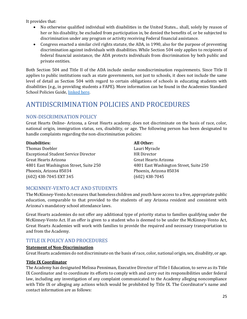It provides that:

- • No otherwise qualified individual with disabilities in the United States... shall, solely by reason of discrimination under any program or activity receiving Federal financial assistance. her or his disability, be excluded from participation in, be denied the benefits of, or be subjected to
- • Congress enacted a similar civil rights statute, the ADA, in 1990, also for the purpose of preventing federal financial assistance, the ADA protects individuals from discrimination by both public and discrimination against individuals with disabilities. While Section 504 only applies to recipients of private entities.

 applies to public institutions such as state governments, not just to schools, it does not include the same disabilities (e.g., in providing students a FAPE). More information can be found in the Academies Standard Both Section 504 and Title II of the ADA include similar nondiscrimination requirements. Since Title II level of detail as Section 504 with regard to certain obligations of schools in educating students with School Policies Guide, [linked here.](https://transparency.greatheartsamerica.org/compliance/)

# <span id="page-24-0"></span>ANTIDISCRIMINATION POLICIES AND PROCEDURES

#### <span id="page-24-1"></span>NON-DISCRIMINATION POLICY

 Great Hearts Online- Arizona, a Great Hearts academy, does not discriminate on the basis of race, color, national origin, immigration status, sex, disability, or age. The following person has been designated to handle complaints regarding the non-discrimination policies:

#### **Disabilities: All Other:**

Exceptional Student Service Director HR Director HR Director<br>Great Hearts Arizona Great Hearts Arizona Great Hearts Arizona Thomas Doebler **Lauri Myracle** 4801 East Washington Street, Suite 250 4801 East Washington Street, Suite 250 Phoenix, Arizona 85034 Phoenix, Arizona 85034 (602) 438-7045 EXT 345 (602) 438-7045

**HR** Director Great Hearts Arizona<br>4801 East Washington Street, Suite 250

#### <span id="page-24-2"></span>MCKINNEY-VENTO ACT AND STUDENTS

The McKinney-Vento Act ensures that homeless children and youth have access to a free, appropriate public education, comparable to that provided to the students of any Arizona resident and consistent with Arizona's mandatory school attendance laws.

 Great Hearts Academies will work with families to provide the required and necessary transportation to Great Hearts academies do not offer any additional type of priority status to families qualifying under the McKinney-Vento Act. If an offer is given to a student who is deemed to be under the McKinney-Vento Act, and from the Academy.

#### <span id="page-24-3"></span>TITLE IX POLICY AND PROCEDURES

#### <span id="page-24-4"></span>**Statement of Non-Discrimination**

Great Hearts academies do not discriminate on the basis of race, color, national origin, sex, disability, or age.

#### <span id="page-24-5"></span>**Title IX Coordinator**

 law, including any investigation of any complaint communicated to the Academy alleging noncompliance contact information are as follows: The Academy has designated Melissa Penniman, Executive Director of Title I Education, to serve as its Title IX Coordinator and to coordinate its efforts to comply with and carry out its responsibilities under federal with Title IX or alleging any actions which would be prohibited by Title IX. The Coordinator's name and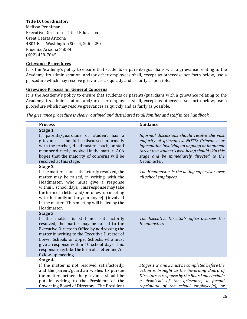#### <span id="page-25-0"></span>**Title IX Coordinator:**

 Melissa Penniman Executive Director of Title I Education<br>Great Hearts Arizona Great Hearts Arizona 4801 East Washington Street, Suite 250 Phoenix, Arizona 85034 (602) 438-7045

#### <span id="page-25-1"></span>**Grievance Procedures**

 It is the Academy's policy to ensure that students or parents/guardians with a grievance relating to the Academy, its administration, and/or other employees shall, except as otherwise set forth below, use a procedure which may resolve grievances as quickly and as fairly as possible.

#### <span id="page-25-2"></span>**Grievance Process for General Concerns**

 Academy, its administration, and/or other employees shall, except as otherwise set forth below, use a procedure which may resolve grievances as quickly and as fairly as possible. It is the Academy's policy to ensure that students or parents/guardians with a grievance relating to the

*The grievance procedure is clearly outlined and distributed to all families and staff in the handbook.* 

| <b>Process</b>                                                                                                                                                                                                                                                                                                                                                         | Guidance                                                                                                                                                                                                                                                   |
|------------------------------------------------------------------------------------------------------------------------------------------------------------------------------------------------------------------------------------------------------------------------------------------------------------------------------------------------------------------------|------------------------------------------------------------------------------------------------------------------------------------------------------------------------------------------------------------------------------------------------------------|
| Stage 1<br>If parents/guardians or student has a<br>grievance it should be discussed informally<br>with the teacher, Headmaster, coach, or staff<br>member directly involved in the matter. ACA<br>hopes that the majority of concerns will be<br>resolved at this stage.                                                                                              | Informal discussions should resolve the vast<br>majority of grievances. NOTE: Grievance or<br>information involving an ongoing or imminent<br>threat to a student's well-being should skip this<br>stage and be immediately directed to the<br>Headmaster. |
| Stage 2<br>If the matter is not satisfactorily resolved, the<br>matter may be raised, in writing, with the<br>Headmaster, who must give a response<br>within 5 school days. This response may take<br>the form of a letter and/or follow-up meeting<br>with the family and any employee(s) involved<br>in the matter. This meeting will be led by the<br>Headmaster.   | The Headmaster is the acting supervisor over<br>all school employees.                                                                                                                                                                                      |
| Stage 3<br>If the matter is still not satisfactorily<br>resolved, the matter may be raised to the<br>Executive Director's Office by addressing the<br>matter in writing to the Executive Director of<br>Lower Schools or Upper Schools, who must<br>give a response within 10 school days. This<br>response may take the form of a letter and/or<br>follow-up meeting. | The Executive Director's office oversees the<br>Headmasters.                                                                                                                                                                                               |
| Stage 4<br>If the matter is not resolved satisfactorily,<br>and the parent/guardian wishes to pursue<br>the matter further, the grievance should be<br>put in writing to the President of the<br>Governing Board of Directors. The President                                                                                                                           | Stages 1, 2, and 3 must be completed before the<br>action is brought to the Governing Board of<br>Directors. A response by the Board may include<br>dismissal of the grievance, a formal<br>$\mathfrak{a}$<br>reprimand of the school employee(s), or      |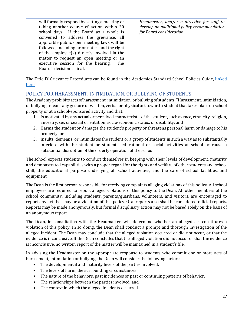school days. If the Board as a whole is applicable public open meeting laws will be executive session for the hearing. The will formally respond by setting a meeting or taking another course of action within 30 convened to address the grievance, all followed, including prior notice and the right of the employee(s) directly involved in the matter to request an open meeting or an executive session for the hearing. The Board's decision is final.

*Headmaster, and/or a directive for staff to develop an additional policy recommendation for Board consideration.* 

The Title IX Grievance Procedures can be found in the Academies Standard School Policies Guide, <u>linked</u> [here.](https://transparency.greatheartsamerica.org/compliance/)

#### <span id="page-26-0"></span>POLICY FOR HARASSMENT, INTIMIDATION, OR BULLYING OF STUDENTS

 or bullying" means any gesture or written, verbal or physical act toward a student that takes place on school The Academy prohibits acts of harassment, intimidation, or bullying of students. "Harassment, intimidation, property or at a school-sponsored activity and that:

- 1. Is motivated by any actual or perceived characteristic of the student, such as race, ethnicity, religion, ancestry, sex or sexual orientation, socio-economic status, or disability; and
- 2. Harms the student or damages the student's property or threatens personal harm or damage to his property; or
- 3. Insults, demeans, or intimidates the student or a group of students in such a way as to substantially interfere with the student or students' educational or social activities at school or cause a substantial disruption of the orderly operation of the school.

 and demonstrated capabilities with a proper regard for the rights and welfare of other students and school The school expects students to conduct themselves in keeping with their levels of development, maturity staff, the educational purpose underlying all school activities, and the care of school facilities, and equipment.

 The Dean is the first person responsible for receiving complaints alleging violations of this policy. All school employees are required to report alleged violations of this policy to the Dean. All other members of the Reports may be made anonymously, but formal disciplinary action may not be based solely on the basis of an anonymous report. school community, including students, parents/guardians, volunteers, and visitors, are encouraged to report any act that may be a violation of this policy. Oral reports also shall be considered official reports.

 alleged incident. The Dean may conclude that the alleged violation occurred or did not occur, or that the The Dean, in consultation with the Headmaster, will determine whether an alleged act constitutes a violation of this policy. In so doing, the Dean shall conduct a prompt and thorough investigation of the evidence is inconclusive. If the Dean concludes that the alleged violation did not occur or that the evidence is inconclusive, no written report of the matter will be maintained in a student's file.

 In advising the Headmaster on the appropriate response to students who commit one or more acts of harassment, intimidation or bullying, the Dean will consider the following factors:

- The developmental and maturity levels of the parties involved.
- The levels of harm, the surrounding circumstances
- The nature of the behaviors, past incidences or past or continuing patterns of behavior.
- The relationships between the parties involved, and
- The context in which the alleged incidents occurred.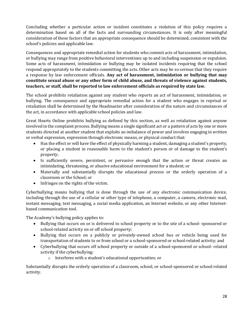determination based on all of the facts and surrounding circumstances. It is only after meaningful consideration of these factors that an appropriate consequence should be determined, consistent with the Concluding whether a particular action or incident constitutes a violation of this policy requires a school's policies and applicable law.

 a response by law enforcement officials. **Any act of harassment, intimidation or bullying that may**  Consequences and appropriate remedial action for students who commit acts of harassment, intimidation, or bullying may range from positive behavioral interventions up to and including suspension or expulsion. Some acts of harassment, intimidation or bullying may be isolated incidents requiring that the school respond appropriately to the students committing the acts. Other acts may be so serious that they require **constitute sexual abuse or any other form of child abuse, and threats of violence against students, teachers, or staff, shall be reported to law enforcement officials as required by state law.** 

 The school prohibits retaliation against any student who reports an act of harassment, intimidation, or retaliation shall be determined by the Headmaster after consideration of the nature and circumstances of bullying. The consequence and appropriate remedial action for a student who engages in reprisal or the act, in accordance with applicable school policies and law.

 Great Hearts Online prohibits bullying as defined by this section, as well as retaliation against anyone involved in the complaint process. Bullying means a single significant act or a pattern of acts by one or more students directed at another student that exploits an imbalance of power and involves engaging in written or verbal expression, expression through electronic means, or physical conduct that:

- • Has the effect or will have the effect of physically harming a student, damaging a student's property, or placing a student in reasonable harm to the student's person or of damage to the student's property;
- • Is sufficiently severe, persistent, or pervasive enough that the action or threat creates an intimidating, threatening, or abusive educational environment for a student; or
- Materially and substantially disrupts the educational process or the orderly operation of a classroom or the School; or
- Infringes on the rights of the victim.

 Cyberbullying means bullying that is done through the use of any electronic communication device, including through the use of a cellular or other type of telephone, a computer, a camera, electronic mail, instant messaging, text messaging, a social media application, an Internet website, or any other Internetbased communication tool.

The Academy's bullying policy applies to:

- • Bullying that occurs on or is delivered to school property or to the site of a school- sponsored or school-related activity on or off school property;
- transportation of students to or from school or a school-sponsored or school-related activity; and • Bullying that occurs on a publicly or privately-owned school bus or vehicle being used for
- • Cyberbullying that occurs off school property or outside of a school-sponsored or school- related activity if the cyberbullying:
	- o Interferes with a student's educational opportunities; or

Substantially disrupts the orderly operation of a classroom, school, or school-sponsored or school-related activity.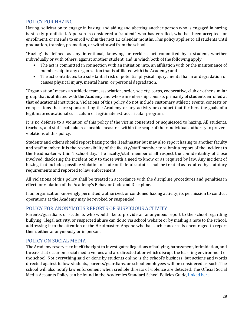#### <span id="page-28-0"></span>POLICY FOR HAZING

 Hazing, solicitation to engage in hazing, and aiding and abetting another person who is engaged in hazing enrollment, or intends to enroll within the next 12 calendar months. This policy applies to all students until is strictly prohibited. A person is considered a "student" who has enrolled, who has been accepted for graduation, transfer, promotion, or withdrawal from the school.

"Hazing" is defined as any intentional, knowing, or reckless act committed by a student, whether individually or with others, against another student, and in which both of the following apply:

- membership in any organization that is affiliated with the Academy; and • The act is committed in connection with an initiation into, an affiliation with or the maintenance of
- • The act contributes to a substantial risk of potential physical injury, mental harm or degradation or causes physical injury, mental harm, or personal degradation.

 group that is affiliated with the Academy and whose membership consists primarily of students enrolled at that educational institution. Violations of this policy do not include customary athletic events, contests or "Organization" means an athletic team, association, order, society, corps, cooperative, club or other similar competitions that are sponsored by the Academy or any activity or conduct that furthers the goals of a legitimate educational curriculum or legitimate extracurricular program.

 It is no defense to a violation of this policy if the victim consented or acquiesced to hazing. All students, teachers, and staff shall take reasonable measures within the scope of their individual authority to prevent violations of this policy.

 and staff member. It is the responsibility of the faculty/staff member to submit a report of the incident to the Headmaster within 1 school day. The faculty/staff member shall respect the confidentiality of those involved, disclosing the incident only to those with a need to know or as required by law. Any incident of Students and others should report hazing to the Headmaster but may also report hazing to another faculty hazing that includes possible violation of state or federal statutes shall be treated as required by statutory requirements and reported to law enforcement.

 All violations of this policy shall be treated in accordance with the discipline procedures and penalties in effect for violation of the Academy's Behavior Code and Discipline.

If an organization knowingly permitted, authorized, or condoned hazing activity, its permission to conduct operations at the Academy may be revoked or suspended.

#### <span id="page-28-1"></span>POLICY FOR ANONYMOUS REPORTS OF SUSPICIOUS ACTIVITY

 addressing it to the attention of the Headmaster. Anyone who has such concerns is encouraged to report Parents/guardians or students who would like to provide an anonymous report to the school regarding bullying, illegal activity, or suspected abuse can do so via school website or by mailing a note to the school, them, either anonymously or in person.

#### <span id="page-28-2"></span>POLICY ON SOCIAL MEDIA

 threats that occur on social media venues and are directed at or which disrupt the learning environment of the school. Not everything said or done by students online is the school's business, but actions and words school will also notify law enforcement when credible threats of violence are detected. The Official Social The Academy reserves to itself the right to investigate allegations of bullying, harassment, intimidation, and directed against fellow students, parents/guardians, or school employees will be considered as such. The Media Accounts Policy can be found in the Academies Standard School Policies Guide[, linked here.](https://transparency.greatheartsamerica.org/compliance/)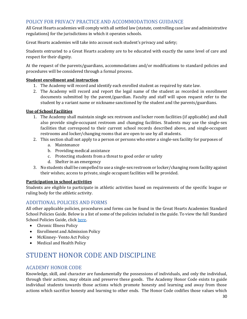#### <span id="page-29-0"></span>POLICY FOR PRIVACY PRACTICE AND ACCOMMODATIONS GUIDANCE

 All Great Hearts academies will comply with all settled law (statute, controlling case law and administrative regulations) for the jurisdictions in which it operates schools.

Great Hearts academies will take into account each student's privacy and safety;

 Students entrusted to a Great Hearts academy are to be educated with exactly the same level of care and respect for their dignity.

 At the request of the parents/guardians, accommodations and/or modifications to standard policies and procedures will be considered through a formal process.

#### **Student enrollment and instruction**

- 1. The Academy will record and identify each enrolled student as required by state law.
- student by a variant name or nickname sanctioned by the student and the parents/guardians. 2. The Academy will record and report the legal name of the student as recorded in enrollment documents submitted by the parent/guardian. Faculty and staff will upon request refer to the

#### **Use of School Facilities**

- 1. The Academy shall maintain single sex restroom and locker room facilities (if applicable) and shall also provide single-occupant restroom and changing facilities. Students may use the single-sex facilities that correspond to their current school records described above, and single-occupant restrooms and locker/changing rooms that are open to use by all students.
- 2. This section shall not apply to a person or persons who enter a single-sex facility for purposes of
	- a. Maintenance
	- b. Providing medical assistance
	- c. Protecting students from a threat to good order or safety
	- d. Shelter in an emergency
- 3. No students shall be compelled to use a single-sex restroom or locker/changing room facility against their wishes; access to private, single occupant facilities will be provided.

#### **Participation in school activities**

Students are eligible to participate in athletic activities based on requirements of the specific league or ruling body for the athletic activity.

#### <span id="page-29-1"></span>ADDITIONAL POLICIES AND FORMS

All other applicable policies, procedures and forms can be found in the Great Hearts Academies Standard School Policies Guide. Below is a list of some of the policies included in the guide. To view the full Standard School Policies Guide, clic[k here.](https://transparency.greatheartsamerica.org/compliance/)

- Chronic Illness Policy
- Enrollment and Admission Policy
- McKinney- Vento Act Policy
- Medical and Health Policy

# <span id="page-29-2"></span>STUDENT HONOR CODE AND DISCIPLINE

#### <span id="page-29-3"></span>ACADEMY HONOR CODE

 actions which sacrifice honesty and learning to other ends. The Honor Code codifies those values which Knowledge, skill, and character are fundamentally the possessions of individuals, and only the individual, through their actions, may obtain and preserve these goods. The Academy Honor Code exists to guide individual students towards those actions which promote honesty and learning and away from those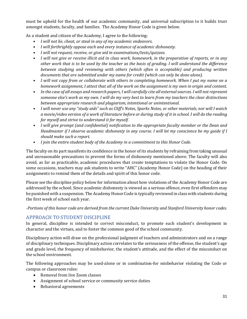must be upheld for the health of our academic community, and universal subscription to it builds trust amongst students, faculty, and families. The Academy Honor Code is given below.

As a student and citizen of the Academy, I agree to the following:

- *I will not lie, cheat, or steal in any of my academic endeavors.*
- *I will forthrightly oppose each and every instance of academic dishonesty.*
- *I will not request, receive, or give aid in examinations/tests/quizzes.*
- *I will not give or receive illicit aid in class work, homework, in the preparation of reports, or in any other work that is to be used by the teacher as the basis of grading. I will understand the difference between studying and reviewing with others (which often is acceptable) and producing written documents that are submitted under my name for credit (which can only be done alone).*
- *I will not copy from or collaborate with others in completing homework. When I put my name on a homework assignment, I attest that all of the work on the assignment is my own in origin and content.*
- *In the case of all essays and research papers, I will carefully cite all external sources. I will not represent someone else's work as my own. I will do my very best to learn from my teachers the clear distinctions between appropriate research and plagiarism, intentional or unintentional.*
- *I will never use any "study aids" such as Cliff's Notes, Sparks Notes, or other materials, nor will I watch a movie/video version of a work of literature before or during study of it in school. I will do the reading for myself and strive to understand it for myself.*
- *Headmaster if I observe academic dishonesty in any course. I will let my conscience be my guide if I*  • *I will give prompt (and confidential) notification to the appropriate faculty member or the Dean and should make such a report.*
- *I join the entire student body of the Academy in a commitment to this Honor Code.*

 and unreasonable precautions to prevent the forms of dishonesty mentioned above. The faculty will also avoid, as far as practicable, academic procedures that create temptations to violate the Honor Code. On The faculty on its part manifests its confidence in the honor of its students by refraining from taking unusual some occasions, teachers may ask students to write "AHC" (Academy Honor Code) on the heading of their assignments to remind them of the details and spirit of this honor code.

 Please see the discipline policy below for information about how violations of the Academy Honor Code are addressed by the school. Since academic dishonesty is viewed as a serious offence, even first offenders may be punished with a suspension. The Academy Honor Code is typically reviewed in class with students during the first week of school each year.

 *-Portions of this honor code are derived from the current Duke University and Stanford University honor codes.* 

#### <span id="page-30-0"></span>APPROACH TO STUDENT DISCIPLINE

In general, discipline is intended to correct misconduct, to promote each student's development in character and the virtues, and to foster the common good of the school community.

 of disciplinary techniques. Disciplinary action correlates to the seriousness of the offense, the student's age and grade level, the frequency of misbehavior, the student's attitude, and the effect of the misconduct on Disciplinary action will draw on the professional judgment of teachers and administrators and on a range the school environment.

 The following approaches may be used-alone or in combination-for misbehavior violating the Code or campus or classroom rules:

- Removal from live Zoom classes
- Assignment of school service or community service duties
- Behavioral agreements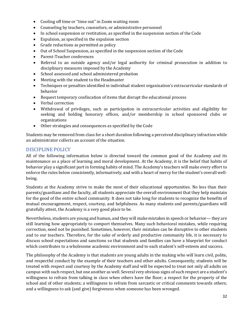- Cooling off time or "time out" in Zoom waiting room
- Counseling by teachers, counselors, or administrative personnel
- In school suspension or restitution, as specified in the suspension section of the Code
- Expulsion, as specified in the expulsion section
- Grade reductions as permitted as policy
- Out of School Suspension, as specified in the suspension section of the Code
- Parent-Teacher conferences
- • Referral to an outside agency and/or legal authority for criminal prosecution in addition to disciplinary measures imposed by the Academy
- School assessed and school administered probation
- Meeting with the student to the Headmaster
- • Techniques or penalties identified in individual student organization's extracurricular standards of behavior
- Request temporary confiscation of items that disrupt the educational process
- Verbal correction
- Withdrawal of privileges, such as participation in extracurricular activities and eligibility for seeking and holding honorary offices, and/or membership in school sponsored clubs or organizations
- Other strategies and consequences as specified by the Code

 an administrator collects an account of the situation. Students may be removed from class for a short duration following a perceived disciplinary infraction while

#### <span id="page-31-0"></span>DISCIPLINE POLICY

 All of the following information below is directed toward the common good of the Academy and its maintenance as a place of learning and moral development. At the Academy, it is the belief that habits of behavior play a significant part in forming habits of mind. The Academy's teachers will make every effort to enforce the rules below consistently, informatively, and with a heart of mercy for the student's overall wellbeing.

 Students at the Academy strive to make the most of their educational opportunities. No less than their for the good of the entire school community. It does not take long for students to recognize the benefits of mutual encouragement, respect, courtesy, and helpfulness. As many students and parents/guardians will parents/guardians and the faculty, all students appreciate the overall environment that they help maintain gratefully attest, the Academy is a very good place to be.

 still learning how appropriately to comport themselves. Many such behavioral mistakes, while requiring discuss school expectations and sanctions so that students and families can have a blueprint for conduct which contributes to a wholesome academic environment and to each student's self-esteem and success. Nevertheless, students are young and human, and they will make mistakes in speech or behavior— they are correction, need not be punished. Sometimes, however, their mistakes can be disruptive to other students and to our teachers. Therefore, for the sake of orderly and productive community life, it is necessary to

 The philosophy of the Academy is that students are young adults in the making who will learn civil, polite, and respectful conduct by the example of their teachers and other adults. Consequently, students will be treated with respect and courtesy by the Academy staff and will be expected to treat not only all adults on campus with such respect, but one another as well. Several very obvious signs of such respect are a student's willingness to refrain from talking in class when others have the floor; a respect for the property of the school and of other students; a willingness to refrain from sarcastic or critical comments towards others; and a willingness to ask (and give) forgiveness when someone has been wronged.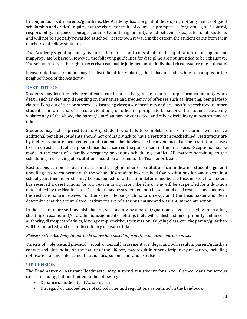and will not be specially rewarded at school. It is its own reward in the esteem the student earns from their In conjunction with parents/guardians, the Academy has the goal of developing not only habits of good scholarship and critical inquiry, but the character traits of courtesy, promptness, forgiveness, self-control, responsibility, diligence, courage, generosity, and magnanimity. Good behavior is expected of all students teachers and fellow students.

 inappropriate behavior. However, the following guidelines for discipline are not intended to be exhaustive. The school reserves the right to exercise reasonable judgment as an individual circumstance might dictate. The Academy's guiding policy is to be fair, firm, and consistent in the application of discipline for

 Please note that a student may be disciplined for violating the behavior code while off campus in the neighborhood of the Academy.

#### <span id="page-32-0"></span>**RESTITUTION**

 detail, such as cleaning, depending on the nature and frequency of offenses such as: littering; being late to students; uniform and dress code violations; or other inappropriate behaviors. If a student repeatedly Students may lose the privilege of extra-curricular activity, or be required to perform community work class; talking out of turn or otherwise disrupting class; use of profanity or disrespectful speech toward other violates any of the above, the parent/guardian may be contacted, and other disciplinary measures may be taken.

 to be a direct result of the poor choice that incurred the punishment in the first place. Exceptions may be scheduling and serving of restitution should be directed to the Teacher or Dean. Students may not skip restitution. Any student who fails to complete terms of restitution will receive additional penalties. Students should not ordinarily ask to have a restitution rescheduled; restitutions are by their very nature inconvenient, and students should view the inconvenience that the restitution causes made in the event of a family emergency or serious scheduling conflict. All matters pertaining to the

 Restitutions can be serious in nature and a high number of restitutions can indicate a student's general unwillingness to cooperate with the school. If a student has received five restitutions for any reason in a has received six restitutions for any reason in a quarter, then he or she will be suspended for a duration the restitutions are received for the same offense (such as tardiness), or if the Headmaster and Dean determine that the accumulated restitutions are of a serious nature and warrant immediate action. school year, then he or she may be suspended for a duration determined by the Headmaster. If a student determined by the Headmaster. A student may be suspended for a lesser number of restitutions if many of

 In the case of more serious misbehavior, such as forging a parent/guardian's signature, lying to an adult, cheating on exams and/or academic assignments, fighting, theft, willful destruction of property, defiance of authority, disrespect of adults, leaving campus without permission, skipping class, etc., the parent/guardian will be contacted, and other disciplinary measures taken.

#### *Please see the Academy Honor Code above for special information on academic dishonesty.*

 Threats of violence and physical, verbal, or sexual harassment are illegal and will result in parent/guardian contact and, depending on the nature of the offense, may result in other disciplinary measures, including notification of law enforcement authorities, suspension, and expulsion.

#### <span id="page-32-1"></span>SUSPENSION

 The Headmaster or Assistant Headmaster may suspend any student for up to 10 school days for serious cause, including, but not limited to the following:

- Defiance of authority of Academy staff
- Disregard or disobedience of school rules and regulations as outlined in the handbook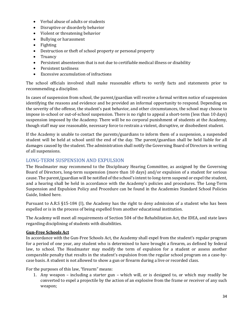- Verbal abuse of adults or students
- Disruptive or disorderly behavior
- Violent or threatening behavior
- Bullying or harassment
- Fighting
- Destruction or theft of school property or personal property
- **Truancy**
- Persistent absenteeism that is not due to certifiable medical illness or disability
- Persistent tardiness
- Excessive accumulation of infractions

The school officials involved shall make reasonable efforts to verify facts and statements prior to recommending a discipline.

 impose in-school or out-of-school suspension. There is no right to appeal a short-term (less than 10 days) suspension imposed by the Academy. There will be no corporal punishment of students at the Academy, In cases of suspension from school, the parent/guardian will receive a formal written notice of suspension identifying the reasons and evidence and be provided an informal opportunity to respond. Depending on the severity of the offense, the student's past behavior, and other circumstances, the school may choose to though staff may use reasonable, necessary force to restrain a violent, disruptive, or disobedient student.

 If the Academy is unable to contact the parents/guardians to inform them of a suspension, a suspended damages caused by the student. The administration shall notify the Governing Board of Directors in writing of all suspensions. student will be held at school until the end of the day. The parent/guardian shall be held liable for all

#### <span id="page-33-0"></span>LONG-TERM SUSPENSION AND EXPULSION

 Board of Directors, long-term suspension (more than 10 days) and/or expulsion of a student for serious cause. The parent/guardian will be notified of the school's intent to long-term suspend or expel the student, Suspension and Expulsion Policy and Procedure can be found in the Academies Standard School Policies The Headmaster may recommend to the Disciplinary Hearing Committee, as assigned by the Governing and a hearing shall be held in accordance with the Academy's policies and procedures. The Long-Term Guide, linked here.

 Pursuant to A.R.S §15-184 (I), the Academy has the right to deny admission of a student who has been expelled or is in the process of being expelled from another educational institution.

The Academy will meet all requirements of Section 504 of the Rehabilitation Act, the IDEA, and state laws regarding disciplining of students with disabilities.

#### <span id="page-33-1"></span>**Gun-Free Schools Act**

 In accordance with the Gun-Free Schools Act, the Academy shall expel from the student's regular program for a period of one year, any student who is determined to have brought a firearm, as defined by federal law, to school. The Headmaster may modify the term of expulsion for a student or assess another comparable penalty that results in the student's expulsion from the regular school program on a case-bycase basis. A student is not allowed to show a gun or firearm during a live or recorded class.

For the purposes of this law, "firearm" means:

 1. Any weapon – including a starter gun – which will, or is designed to, or which may readily be converted to expel a projectile by the action of an explosive from the frame or receiver of any such weapon;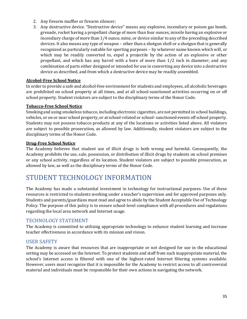- 2. Any firearm muffler or firearm silencer;
- 3. Any destructive device. "Destructive device" means any explosive, incendiary or poison gas bomb, grenade, rocket having a propellant charge of more than four ounces, missile having an explosive or incendiary charge of more than 1/4 ounce, mine, or device similar to any of the preceding described devices. It also means any type of weapon – other than a shotgun shell or a shotgun that is generally recognized as particularly suitable for sporting purposes – by whatever name known which will, or propellant, and which has any barrel with a bore of more than 1/2 inch in diameter; and any combination of parts either designed or intended for use in converting any device into a destructive which may be readily converted to, expel a projectile by the action of an explosive or other device as described, and from which a destructive device may be readily assembled.

#### <span id="page-34-0"></span>**Alcohol-Free School Notice**

 In order to provide a safe and alcohol-free environment for students and employees, all alcoholic beverages are prohibited on school property at all times, and at all school-sanctioned activities occurring on or off school property. Student violators are subject to the disciplinary terms of the Honor Code.

#### <span id="page-34-1"></span>**Tobacco-Free School Notice**

 Students may not possess tobacco products at any of the locations or activities listed above. All violators Smoking and using smokeless tobacco, including electronic cigarettes, are not permitted in school buildings, vehicles, or on or near school property, or at school-related or school- sanctioned events off school property. are subject to possible prosecution, as allowed by law. Additionally, student violators are subject to the disciplinary terms of the Honor Code.

#### <span id="page-34-2"></span>**Drug-Free School Notice**

The Academy believes that student use of illicit drugs is both wrong and harmful. Consequently, the Academy prohibits the use, sale, possession, or distribution of illicit drugs by students on school premises or any school activity, regardless of its location. Student violators are subject to possible prosecution, as allowed by law, as well as the disciplinary terms of the Honor Code.

<span id="page-34-3"></span> Students and parents/guardians must read and agree to abide by the Student Acceptable Use of Technology regarding the local area network and Internet usage. STUDENT TECHNOLOGY INFORMATION<br>The Academy has made a substantial investment in technology for instructional purposes. Use of these resources is restricted to students working under a teacher's supervision and for approved purposes only. Policy. The purpose of this policy is to ensure school-level compliance with all procedures and regulations

#### <span id="page-34-4"></span>TECHNOLOGY STATEMENT

 The Academy is committed to utilizing appropriate technology to enhance student learning and increase teacher effectiveness in accordance with its mission and vision.

#### <span id="page-34-5"></span>USER SAFETY

 setting may be accessed on the Internet. To protect students and staff from such inappropriate material, the school's Internet access is filtered with one of the highest-rated Internet filtering systems available. The Academy is aware that resources that are inappropriate or not designed for use in the educational However, users must recognize that it is impossible for the Academy to restrict access to all controversial material and individuals must be responsible for their own actions in navigating the network.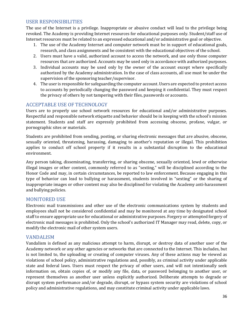#### <span id="page-35-0"></span>USER RESPONSIBILITIES

 Internet resources must be related to an expressed educational and/or administrative goal or objective. The use of the Internet is a privilege. Inappropriate or abusive conduct will lead to the privilege being revoked. The Academy is providing Internet resources for educational purposes only. Student/staff use of

- 1. The use of the Academy Internet and computer network must be in support of educational goals, research, and class assignments and be consistent with the educational objectives of the school.
- 2. Users must have a valid, authorized account to access the network, and use only those computer resources that are authorized. Accounts may be used only in accordance with authorized purposes.
- 3. Individual accounts may be used only by the owner of the account except where specifically authorized by the Academy administration. In the case of class accounts, all use must be under the supervision of the sponsoring teacher/supervisor.
- 4. The user is responsible for safeguarding the computer account. Users are expected to protect access to accounts by periodically changing the password and keeping it confidential. They must respect the privacy of others by not tampering with their files, passwords or accounts.

#### <span id="page-35-1"></span>ACCEPTABLE USE OF TECHNOLOGY

 Users are to properly use school network resources for educational and/or administrative purposes. Respectful and responsible network etiquette and behavior should be in keeping with the school's mission statement. Students and staff are expressly prohibited from accessing obscene, profane, vulgar, or pornographic sites or materials.

 Students are prohibited from sending, posting, or sharing electronic messages that are abusive, obscene, sexually oriented, threatening, harassing, damaging to another's reputation or illegal. This prohibition applies to conduct off school property if it results in a substantial disruption to the educational environment.

 and bullying policies. Any person taking, disseminating, transferring, or sharing obscene, sexually oriented, lewd or otherwise illegal images or other content, commonly referred to as "sexting," will be disciplined according to the Honor Code and may, in certain circumstances, be reported to law enforcement. Because engaging in this type of behavior can lead to bullying or harassment, students involved in "sexting" or the sharing of inappropriate images or other content may also be disciplined for violating the Academy anti-harassment

#### <span id="page-35-2"></span>MONITORED USE

 Electronic mail transmissions and other use of the electronic communications system by students and staff to ensure appropriate use for educational or administrative purposes. Forgery or attempted forgery of employees shall not be considered confidential and may be monitored at any time by designated school electronic mail messages is prohibited. Only the school's authorized IT Manager may read, delete, copy, or modify the electronic mail of other system users.

#### <span id="page-35-3"></span>VANDALISM

 Academy network or any other agencies or networks that are connected to the Internet. This includes, but violations of school policy, administrative regulations and, possibly, as criminal activity under applicable Vandalism is defined as any malicious attempt to harm, disrupt, or destroy data of another user of the is not limited to, the uploading or creating of computer viruses. Any of these actions may be viewed as state and federal laws. Users must respect the privacy of other users, and will not intentionally seek information on, obtain copies of, or modify any file, data, or password belonging to another user, or represent themselves as another user unless explicitly authorized. Deliberate attempts to degrade or disrupt system performance and/or degrade, disrupt, or bypass system security are violations of school policy and administrative regulations, and may constitute criminal activity under applicable laws.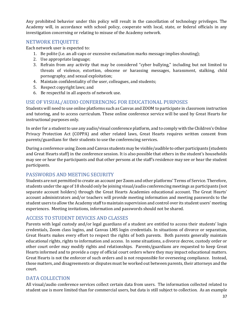investigation concerning or relating to misuse of the Academy network. Any prohibited behavior under this policy will result in the cancellation of technology privileges. The Academy will, in accordance with school policy, cooperate with local, state, or federal officials in any

#### <span id="page-36-0"></span>NETWORK ETIQUETTE

Each network user is expected to:

- 1. Be polite (i.e. an all-caps or excessive exclamation marks message implies shouting);
- 2. Use appropriate language;
- 3. Refrain from any activity that may be considered "cyber bullying," including but not limited to threats of violence, extortion, obscene or harassing messages, harassment, stalking, child pornography, and sexual exploitation;
- 4. Maintain confidentiality of the user, colleagues, and students;
- 5. Respect copyright laws; and
- 6. Be respectful in all aspects of network use.

#### <span id="page-36-1"></span>USE OF VISUAL/AUDIO CONFERENCING FOR EDUCATIONAL PURPOSES

 Students will need to use online platforms such as Canvas and ZOOM to participate in classroom instruction and tutoring, and to access curriculum. These online conference service will be used by Great Hearts for instructional purposes only.

 In order for a student to use any audio/visual conference platform, and to comply with the Children's Online Privacy Protection Act (COPPA) and other related laws, Great Hearts requires written consent from parents/guardians for their students to use the conferencing services.

 During a conference using Zoom and Canvas students may be visible/audible to other participants (students may see or hear the participants and that other persons at the staff's residence may see or hear the student and Great Hearts staff) in the conference session. It is also possible that others in the student's households participants.

#### <span id="page-36-2"></span>PASSWORDS AND MEETING SECURITY

 students under the age of 18 should only be joining visual/audio conferencing meetings as participants (not separate account holders) through the Great Hearts Academies educational account. The Great Hearts' account administrators and/or teachers will provide meeting information and meeting passwords to the student users to allow the Academy staff to maintain supervision and control over its student users' meeting Students are not permitted to create an account per Zoom and other platforms' Terms of Service. Therefore, experiences. Meeting invitations, information and passwords should not be shared.

#### <span id="page-36-3"></span>ACCESS TO STUDENT DEVICES AND CLASSES

 Parents with legal custody and/or legal guardians of a student are entitled to access their students' login Hearts informed and to provide a copy of official court orders where they may impact educational matters. credentials, Zoom class logins, and Canvas LMS login credentials. In situations of divorce or separation, Great Hearts makes every effort to respect the rights of both parents. Both parents generally maintain educational rights, rights to information and access. In some situations, a divorce decree, custody order or other court order may modify rights and relationships. Parents/guardians are requested to keep Great Great Hearts is not the enforcer of such orders and is not responsible for overseeing compliance. Instead, those matters, and disagreements or disputes must be worked out between parents, their attorneys and the court.

#### <span id="page-36-4"></span>DATA COLLECTION

 All visual/audio conference services collect certain data from users. The information collected related to student use is more limited than for commercial users, but data is still subject to collection. As an example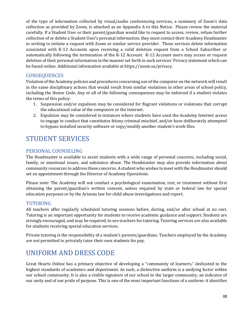collection as provided by Zoom, is attached as an Appendix A to this Notice. Please review the material carefully. If a Student User or their parent/guardian would like to request to access, review, refuse further collection of or delete a Student User's personal information, they must contact their Academy Headmaster in writing to initiate a request with Zoom or similar service provider. These services delete information associated with K-12 Accounts upon receiving a valid deletion request from a School Subscriber or automatically following the termination of the K-12 Account. K-12 Account users may access or request deletion of their personal information in the manner set forth in each services' Privacy statement which can be found online. Additional information available at https://zoom.us/privacy. of the type of information collected by visual/audio conferencing services, a summary of Zoom's data

#### <span id="page-37-0"></span>**CONSEQUENCES**

 Violation of the Academy policies and procedures concerning use of the computer on the network will result in the same disciplinary actions that would result from similar violations in other areas of school policy, including the Honor Code. Any or all of the following consequences may be enforced if a student violates the terms of this policy:

- 1. Suspension and/or expulsion may be considered for flagrant violations or violations that corrupt the educational value of the computers or the Internet.
- 2. Expulsion may be considered in instances where students have used the Academy Internet access to engage in conduct that constitutes felony criminal mischief, and/or have deliberately attempted to bypass installed security software or copy/modify another student's work files.

# <span id="page-37-1"></span>STUDENT SERVICES

#### <span id="page-37-2"></span>PERSONAL COUNSELING

 community resources to address these concerns. A student who wishes to meet with the Headmaster should set an appointment through the Director of Academy Operations. The Headmaster is available to assist students with a wide range of personal concerns, including social, family, or emotional issues, and substance abuse. The Headmaster may also provide information about

 obtaining the parent/guardian's written consent, unless required by state or federal law for special Please note: The Academy will not conduct a psychological examination, test, or treatment without first education purposes or by the Arizona law for child abuse investigations and report.

#### <span id="page-37-3"></span>TUTORING

 strongly encouraged, and may be required, to see teachers for tutoring. Tutoring services are also available All teachers offer regularly scheduled tutoring sessions before, during, and/or after school at no cost. Tutoring is an important opportunity for students to receive academic guidance and support. Students are for students receiving special education services.

 Private tutoring is the responsibility of a student's parents/guardians. Teachers employed by the Academy are not permitted to privately tutor their own students for pay.

# <span id="page-37-4"></span>UNIFORM AND DRESS CODE

 Great Hearts Online has a primary objective of developing a "community of learners," dedicated to the our school community. It is also a visible signature of our school to the larger community, an indicator of highest standards of academics and deportment. As such, a distinctive uniform is a unifying factor within our unity and of our pride of purpose. This is one of the most important functions of a uniform: it identifies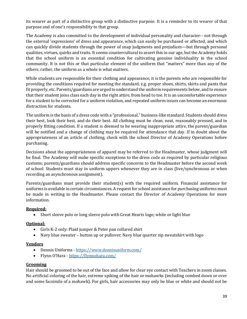its wearer as part of a distinctive group with a distinctive purpose. It is a reminder to its wearer of that purpose and of one's responsibility to that group.

 The Academy is also committed to the development of individual personality and character-- not through the external 'expressions' of dress and appearance, which can easily be purchased or affected, and which can quickly divide students through the power of snap judgments and prejudices—but through personal qualities, virtues, quirks and traits. It seems countercultural to assert this in our age, but the Academy holds that the school uniform is an essential condition for cultivating genuine individuality in the school community. It is not this or that particular element of the uniform that "matters" more than any of the others; rather, the uniform as a whole is what matters.

 fit properly, etc. Parents/guardians are urged to understand the uniform requirements below, and to ensure that their student joins class each day in the right attire, from head to toe. It is an uncomfortable experience for a student to be corrected for a uniform violation, and repeated uniform issues can become an enormous While students are responsible for their clothing and appearance, it is the parents who are responsible for providing the conditions required for meeting the standard, e.g. proper shoes, shirts, skirts and pants that distraction for students.

 their best, look their best, and do their best. All clothing must be clean, neat, reasonably pressed, and in will be notified and a change of clothing may be required for attendance that day. If in doubt about the The uniform is the basis of a dress code with a "professional," business-like standard. Students should dress properly fitting condition. If a student is deemed to be wearing inappropriate attire, the parent/guardian appropriateness of an article of clothing, check with the school Director of Academy Operations before purchasing.

 be final. The Academy will make specific exceptions to the dress code as required by particular religious Decisions about the appropriateness of apparel may be referred to the Headmaster, whose judgment will customs; parents/guardians should address specific concerns to the Headmaster before the second week of school. Students must stay in uniform uppers whenever they are in class (live/synchronous or when recording an asynchronous assignment).

 Parents/guardians must provide their student(s) with the required uniform. Financial assistance for uniforms is available in certain circumstances. A request for school assistance for purchasing uniforms must be made in writing to the Headmaster. Please contact the Director of Academy Operations for more information.

#### **Required:**

• Short sleeve polo or long sleeve polo with Great Hearts logo; white or light blue

#### **Optional:**

- Girls K-2 only: Plaid jumper & Peter pan collared shirt
- Navy blue sweater button up or pullover; Navy blue quarter zip sweatshirt with logo

#### **Vendors**

- Dennis Uniforms <https://www.dennisuniform.com/>
- Flynn O'Hara https://flynnohara.com/

#### **Grooming**

 and some facsimile of a mohawk). For girls, hair accessories may only be blue or white and should not be Hair should be groomed to be out of the face and allow for clear eye contact with Teachers in zoom classes. No artificial coloring of the hair, extreme spiking of the hair or mohawks (including combed down or over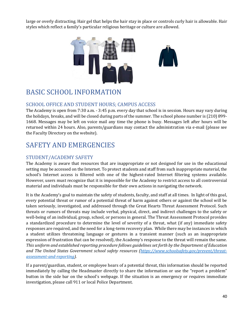large or overly distracting. Hair gel that helps the hair stay in place or controls curly hair is allowable. Hair styles which reflect a family's particular religious heritage or culture are allowed.



# <span id="page-39-0"></span>BASIC SCHOOL INFORMATION

#### <span id="page-39-1"></span>SCHOOL OFFICE AND STUDENT HOURS; CAMPUS ACCESS

 the holidays, breaks, and will be closed during parts of the summer. The school phone number is (210) 899- returned within 24 hours. Also, parents/guardians may contact the administration via e-mail (please see The Academy is open from 7:30 a.m. - 3:45 p.m. every day that school is in session. Hours may vary during 1668. Messages may be left on voice mail any time the phone is busy. Messages left after hours will be the Faculty Directory on the website).

# <span id="page-39-2"></span>SAFETY AND EMERGENCIES

#### <span id="page-39-3"></span>STUDENT/ACADEMY SAFETY

 setting may be accessed on the Internet. To protect students and staff from such inappropriate material, the school's Internet access is filtered with one of the highest-rated Internet filtering systems available. The Academy is aware that resources that are inappropriate or not designed for use in the educational However, users must recognize that it is impossible for the Academy to restrict access to all controversial material and individuals must be responsible for their own actions in navigating the network.

 It is the Academy's goal to maintain the safety of students, faculty, and staff at all times. In light of this goal, every potential threat or rumor of a potential threat of harm against others or against the school will be a standardized procedure to determine the level of severity of a threat, what (if any) immediate safety responses are required, and the need for a long-term recovery plan. While there may be instances in which  *This uniform and established reporting procedure follows guidelines set forth by the Department of Education*  taken seriously, investigated, and addressed through the Great Hearts Threat Assessment Protocol. Such threats or rumors of threats may include verbal, physical, direct, and indirect challenges to the safety or well-being of an individual, group, school, or persons in general. The Threat Assessment Protocol provides a student utilizes threatening language or gestures in a transient manner (such as an inappropriate expression of frustration that can be resolved), the Academy's response to the threat will remain the same. *and The United States Government school safety resources [\(https://www.schoolsafety.gov/prevent/threat](https://www.schoolsafety.gov/prevent/threat-assessment-and-reporting)[assessment-and-reporting\)](https://www.schoolsafety.gov/prevent/threat-assessment-and-reporting).* 

 If a parent/guardian, student, or employee hears of a potential threat, this information should be reported immediately by calling the Headmaster directly to share the information or use the "report a problem" button in the side bar on the school's webpage. If the situation is an emergency or requires immediate investigation, please call 911 or local Police Department.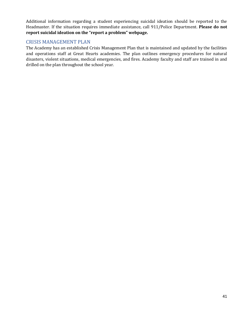Additional information regarding a student experiencing suicidal ideation should be reported to the Headmaster. If the situation requires immediate assistance, call 911/Police Department. **Please do not report suicidal ideation on the "report a problem" webpage.** 

#### <span id="page-40-0"></span>CRISIS MANAGEMENT PLAN

 and operations staff at Great Hearts academies. The plan outlines emergency procedures for natural disasters, violent situations, medical emergencies, and fires. Academy faculty and staff are trained in and The Academy has an established Crisis Management Plan that is maintained and updated by the facilities drilled on the plan throughout the school year.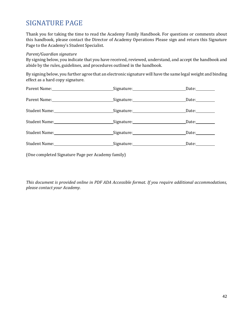# <span id="page-41-0"></span>SIGNATURE PAGE

 Thank you for taking the time to read the Academy Family Handbook. For questions or comments about this handbook, please contact the Director of Academy Operations Please sign and return this Signature Page to the Academy's Student Specialist.

#### *Parent/Guardian signature*

 By signing below, you indicate that you have received, reviewed, understand, and accept the handbook and abide by the rules, guidelines, and procedures outlined in the handbook.

By signing below, you further agree that an electronic signature will have the same legal weight and binding effect as a hard copy signature.

|                                                                                                      | Signature: Date: Date: |                 |  |
|------------------------------------------------------------------------------------------------------|------------------------|-----------------|--|
|                                                                                                      | Signature: Signature:  | Date:__________ |  |
| Student Name:_________________________________Signature:__________________________Date:____________  |                        |                 |  |
| Student Name:__________________________________Signature:__________________________Date:___________  |                        |                 |  |
| Student Name:__________________________________Signature:__________________________Date:___________  |                        |                 |  |
| Student Name:_________________________________Signature:_________________________Date:______________ |                        |                 |  |
| (One completed Signature Page per Academy family)                                                    |                        |                 |  |

 *This document is provided online in PDF ADA Accessible format. If you require additional accommodations, please contact your Academy.*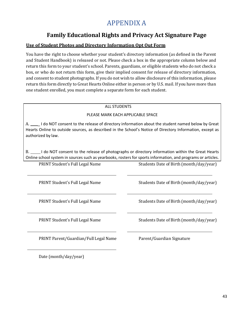# APPENDIX A

## **Family Educational Rights and Privacy Act Signature Page**

#### <span id="page-42-0"></span>**Use of Student Photos and Directory Information Opt Out Form**

 You have the right to choose whether your student's directory information (as defined in the Parent and consent to student photographs. If you do not wish to allow disclosure of this information, please return this form directly to Great Hearts Online either in person or by U.S. mail. If you have more than and Student Handbook) is released or not. Please check a box in the appropriate column below and return this form to your student's school. Parents, guardians, or eligible students who do not check a box, or who do not return this form, give their implied consent for release of directory information, one student enrolled, you must complete a separate form for each student.

#### ALL STUDENTS

#### PLEASE MARK EACH APPLICABLE SPACE

A. \_\_\_\_\_ I do NOT consent to the release of directory information about the student named below by Great authorized by law. Hearts Online to outside sources, as described in the School's Notice of Directory Information, except as

B. \_\_\_\_\_I do NOT consent to the release of photographs or directory information within the Great Hearts Online school system in sources such as yearbooks, rosters for sports information, and programs or articles.

PRINT Student's Full Legal Name PRINT Student's Full Legal Name PRINT Student's Full Legal Name PRINT Student's Full Legal Name PRINT Parent/Guardian/Full Legal Name Parent/Guardian Signature Students Date of Birth (month/day/year) Students Date of Birth (month/day/year) Students Date of Birth (month/day/year) Students Date of Birth (month/day/year)

Date (month/day/year)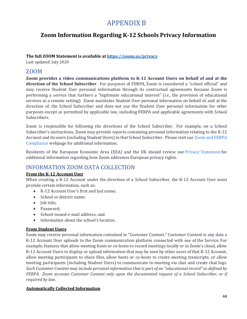# APPENDIX B

# <span id="page-43-0"></span>**Zoom Information Regarding K-12 Schools Privacy Information**

#### **The full ZOOM Statement is available at<https://zoom.us/privacy>**

Last updated: July 2020

#### ZOOM

 **direction of the School Subscriber**. For purposes of FERPA, Zoom is considered a "school official" and performing a service that furthers a "legitimate educational interest" (*i.e*., the provision of educational services in a remote setting). Zoom maintains Student User personal information on behalf of, and at the purposes except as permitted by applicable law, including FERPA and applicable agreements with School **Zoom provides a video communications platform to K-12 Account Users on behalf of and at the**  may receive Student User personal information through its contractual agreements because Zoom is direction of, the School Subscriber and does not use the Student User personal information for other Subscribers.

 Zoom is responsible for following the directions of the School Subscriber. For example, on a School Account and its users (including Student Users) to that School Subscriber. Please visit ou[r Zoom and FERPA](https://zoom.us/docs/doc/FERPA%20Guide.pdf)  Compliance webpage for additional information. Subscriber's instructions, Zoom may provide reports containing personal information relating to the K-12

Residents of the European Economic Area (EEA) and the UK should review our [Privacy Statement](https://zoom.us/privacy) for additional information regarding how Zoom addresses European privacy rights.

## INFORMATION ZOOM DATA COLLECTION

#### **From the K-12 Account User**

When creating a K-12 Account under the direction of a School Subscriber, the K-12 Account User must provide certain information, such as:

- K-12 Account User's first and last name;
- School or district name:
- **Job title**:
- Password;
- School-issued e-mail address; and
- Information about the school's location.

#### **From Student Users**

 example, features that allow meeting hosts or co-hosts to record meetings locally or to Zoom's cloud, allow K-12 Account Users to display or upload information that may be seen by other users of that K-12 Account, allow meeting participants to share files, allow hosts or co-hosts to create meeting transcripts, or allow meeting participants (including Student Users) to communicate in-meeting via chat and create chat logs.  *Such Customer Content may include personal information that is part of an "educational record" as defined by*  FERPA. Zoom accesses Customer Content only upon the documented request of a School Subscriber, or if Zoom may receive personal information contained in "Customer Content." Customer Content is any data a K-12 Account User uploads to the Zoom communication platform connected with use of the Service. For *required by law.* 

#### **Automatically Collected Information**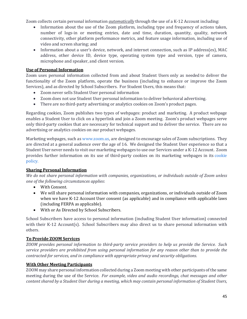Zoom collects certain personal information *automatically* through the use of a K-12 Account including:

- Information about the use of the Zoom platform, including type and frequency of actions taken, number of logs-in or meeting entries, date and time, duration, quantity, quality, network connectivity, other platform performance metrics, and feature usage information, including use of video and screen sharing; and
- • Information about a user's device, network, and internet connection, such as IP address(es), MAC address, other device ID, device type, operating system type and version, type of camera, microphone and speaker, and client version.

#### **Use of Personal Information**

 Zoom uses personal information collected from and about Student Users only as needed to deliver the functionality of the Zoom platform, operate the business (including to enhance or improve the Zoom Services), and as directed by School Subscribers. For Student Users, this means that:

- Zoom never sells Student User personal information
- Zoom does not use Student User personal information to deliver behavioral advertising.
- There are no third-party advertising or analytics cookies on Zoom's product pages.

 Regarding cookies, Zoom publishes two types of webpages: product and marketing. A product webpage enables a Student User to click on a hyperlink and join a Zoom meeting. Zoom's product webpages serve only third-party cookies that are necessary for technical support and to deliver the service. There are no advertising or analytics cookies on our product webpages.

advertising or analytics cookies on our product webpages.<br>Marketing webpages, such as <mark>www.zoom.us,</mark> are designed to encourage sales of Zoom subscriptions. They are directed at a general audience over the age of 16. We designed the Student User experience so that a Student User never needs to visit our marketing webpages to use our Services under a K-12 Account. Zoom provides further information on its use of third-party cookies on its marketing webpages in its [cookie](https://zoom.us/cookie-policy)  [policy.](https://zoom.us/cookie-policy) 

#### **Sharing Personal Information**

 *We do not share personal information with companies, organizations, or individuals outside of Zoom unless one of the following circumstances applies*:

- With Consent.
- • We will share personal information with companies, organizations, or individuals outside of Zoom when we have K-12 Account User consent (as applicable) and in compliance with applicable laws (including FERPA as applicable).
- With or As Directed by School Subscribers.

 with their K-12 Account(s). School Subscribers may also direct us to share personal information with others. School Subscribers have access to personal information (including Student User information) connected

#### **To Provide ZOOM Services**

 *ZOOM provides personal information to third-party service providers to help us provide the Service. Such contracted-for services, and in compliance with appropriate privacy and security obligations*. *service providers are prohibited from using personal information for any reason other than to provide the* 

#### **With Other Meeting Participants**

 meeting during the use of the Service. *For example, video and audio recordings, chat messages and other content shared by a Student User during a meeting, which may contain personal information of Student Users,*  ZOOM may share personal information collected during a Zoom meeting with other participants of the same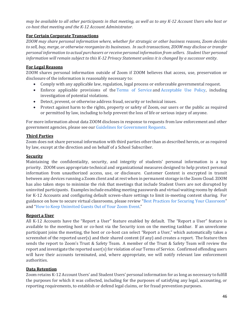*may be available to all other participants in that meeting, as well as to any K-12 Account Users who host or co-host that meeting and the K-12 Account Administrator.* 

#### **For Certain Corporate Transactions**

 *to sell, buy, merge, or otherwise reorganize its businesses. In such transactions, ZOOM may disclose or transfer personal information to actual purchasers or receive personal information from sellers. Student User personal information will remain subject to this K-12 Privacy Statement unless it is changed by a successor entity*. *ZOOM may share personal information where, whether for strategic or other business reasons, Zoom decides* 

#### **For Legal Reasons**

 ZOOM shares personal information outside of Zoom if ZOOM believes that access, use, preservation or disclosure of the information is reasonably necessary to:

- Comply with any applicable law, regulation, legal process or enforceable governmental request.
- • Enforce applicable provisions of the [Terms of Service a](https://zoom.us/terms)nd [Acceptable Use Policy,](https://zoom.us/reasonableusepolicy) including investigation of potential violations.
- Detect, prevent, or otherwise address fraud, security or technical issues.
- Protect against harm to the rights, property or safety of Zoom, our users or the public as required or permitted by law, including to help prevent the loss of life or serious injury of anyone.

For more information about data ZOOM discloses in response to requests from law enforcement and other government agencies, please see our [Guidelines for Government Requests.](https://www.zoom.us/docs/en-us/government-requests-guide.html) 

#### **Third Parties**

 Zoom does not share personal information with third parties other than as described herein, or as required by law, except at the direction and on behalf of a School Subscriber.

#### **Security**

 priority. ZOOM uses appropriate technical and organizational measures designed to help protect personal information from unauthorized access, use, or disclosure. Customer Content is encrypted in transit between any devices running a Zoom client and at rest when in permanent storage in the Zoom Cloud. ZOOM has also taken steps to minimize the risk that meetings that include Student Users are not disrupted by uninvited participants. Examples include enabling meeting passwords and virtual waiting rooms by default for K-12 Accounts and configuring default screen-share settings to limit in-meeting content sharing. For Maintaining the confidentiality, security, and integrity of students' personal information is a top guidance on how to secure virtual classrooms, please review ["Best Practices for Securing Your Classroom"](https://blog.zoom.us/best-practices-for-securing-your-virtual-classroom/) and ["How to Keep Uninvited Guests Out of Your Zoom Event."](https://blog.zoom.us/keep-uninvited-guests-out-of-your-zoom-event/)

#### **Report a User**

 All K-12 Accounts have the "Report a User" feature enabled by default. The "Report a User" feature is available to the meeting host or co-host via the Security icon on the meeting taskbar. If an unwelcome participant joins the meeting, the host or co-host can select "Report a User," which automatically takes a screenshot of the reported user(s) and their shared content (if any) and creates a report. The feature then sends the report to Zoom's Trust & Safety Team. A member of the Trust & Safety Team will review the report and investigate the reported user(s) for violation of our Terms of Service. Confirmed offending users will have their accounts terminated, and, where appropriate, we will notify relevant law enforcement authorities.

#### **Data Retention**

 the purposes for which it was collected, including for the purposes of satisfying any legal, accounting, or reporting requirements, to establish or defend legal claims, or for fraud prevention purposes. Zoom retains K-12 Account Users' and Student Users' personal information for as long as necessary to fulfill